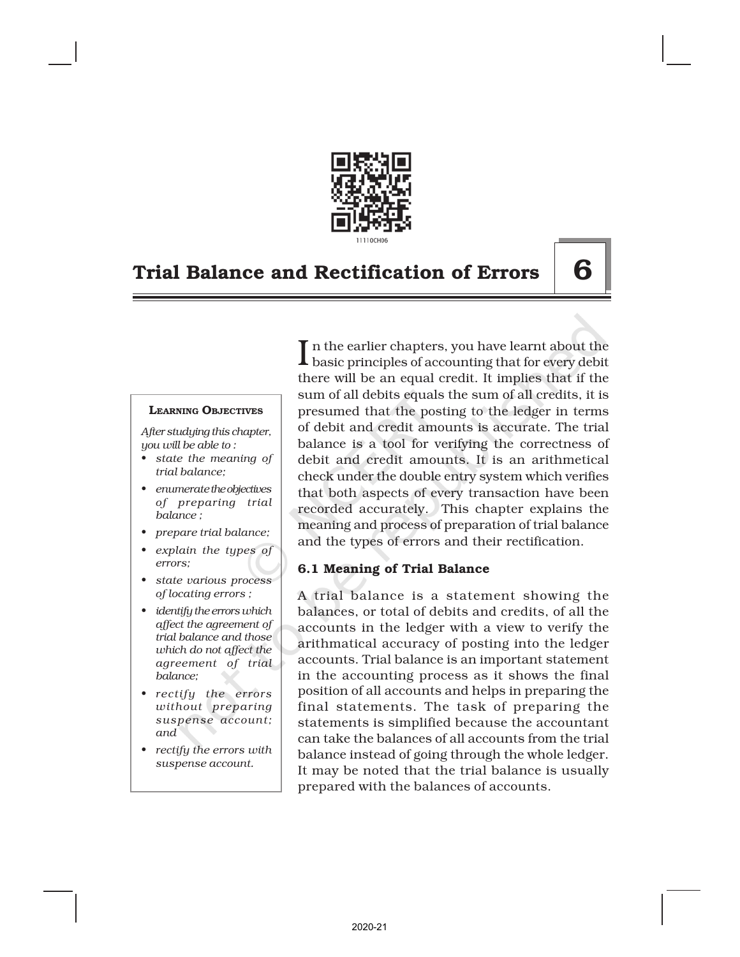

# Trial Balance and Rectification of Errors  $\parallel$  6

### LEARNING OBJECTIVES

*After studying this chapter, you will be able to :*

- *• state the meaning of trial balance;*
- *• enumerate the objectives of preparing trial balance ;*
- *• prepare trial balance;*
- *• explain the types of errors;*
- *• state various process of locating errors ;*
- *• identify the errors which affect the agreement of trial balance and those which do not affect the agreement of trial balance;*
- *• rectify the errors without preparing suspense account; and*
- *• rectify the errors with suspense account.*

In the earlier chapters, you have learnt about the basic principles of accounting that for every debit basic principles of accounting that for every debit there will be an equal credit. It implies that if the sum of all debits equals the sum of all credits, it is presumed that the posting to the ledger in terms of debit and credit amounts is accurate. The trial balance is a tool for verifying the correctness of debit and credit amounts. It is an arithmetical check under the double entry system which verifies that both aspects of every transaction have been recorded accurately. This chapter explains the meaning and process of preparation of trial balance and the types of errors and their rectification.

## 6.1 Meaning of Trial Balance

A trial balance is a statement showing the balances, or total of debits and credits, of all the accounts in the ledger with a view to verify the arithmatical accuracy of posting into the ledger accounts. Trial balance is an important statement in the accounting process as it shows the final position of all accounts and helps in preparing the final statements. The task of preparing the statements is simplified because the accountant can take the balances of all accounts from the trial balance instead of going through the whole ledger. It may be noted that the trial balance is usually prepared with the balances of accounts.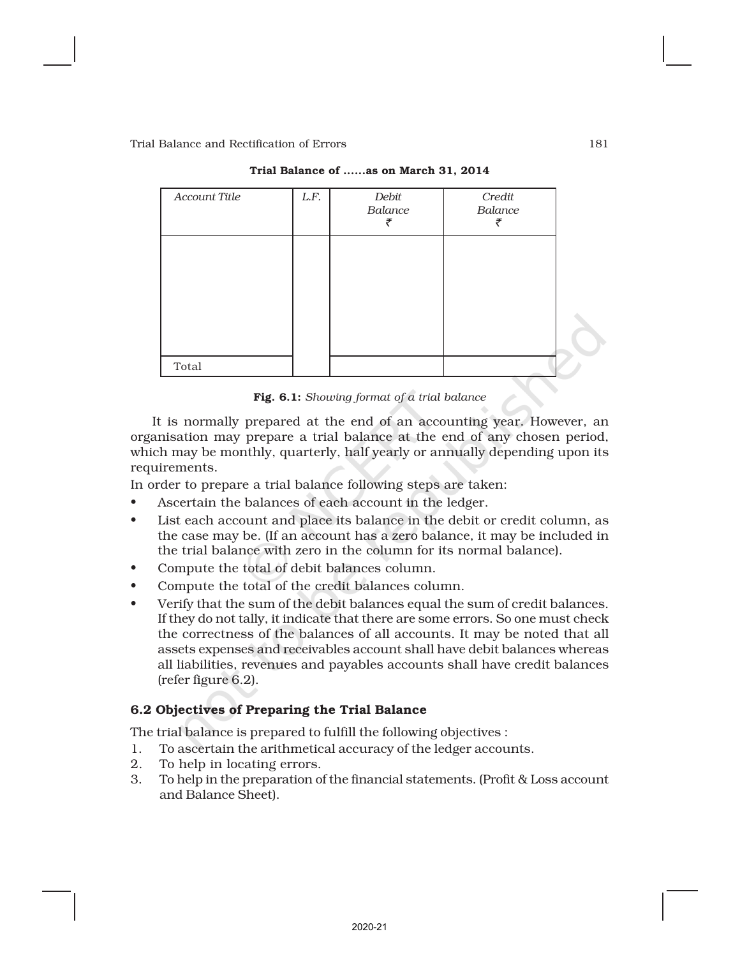| Account Title | L.F. | Debit<br><b>Balance</b><br>₹ | Credit<br><b>Balance</b><br>₹ |  |
|---------------|------|------------------------------|-------------------------------|--|
|               |      |                              |                               |  |
|               |      |                              |                               |  |
| Total         |      |                              |                               |  |

Trial Balance of ......as on March 31, 2014

Fig. 6.1: *Showing format of a trial balance*

It is normally prepared at the end of an accounting year. However, an organisation may prepare a trial balance at the end of any chosen period, which may be monthly, quarterly, half yearly or annually depending upon its requirements.

In order to prepare a trial balance following steps are taken:

- Ascertain the balances of each account in the ledger.
- List each account and place its balance in the debit or credit column, as the case may be. (If an account has a zero balance, it may be included in the trial balance with zero in the column for its normal balance).
- Compute the total of debit balances column.
- Compute the total of the credit balances column.
- Verify that the sum of the debit balances equal the sum of credit balances. If they do not tally, it indicate that there are some errors. So one must check the correctness of the balances of all accounts. It may be noted that all assets expenses and receivables account shall have debit balances whereas all liabilities, revenues and payables accounts shall have credit balances (refer figure 6.2).

## 6.2 Objectives of Preparing the Trial Balance

The trial balance is prepared to fulfill the following objectives :

- 1. To ascertain the arithmetical accuracy of the ledger accounts.
- 2. To help in locating errors.
- 3. To help in the preparation of the financial statements. (Profit & Loss account and Balance Sheet).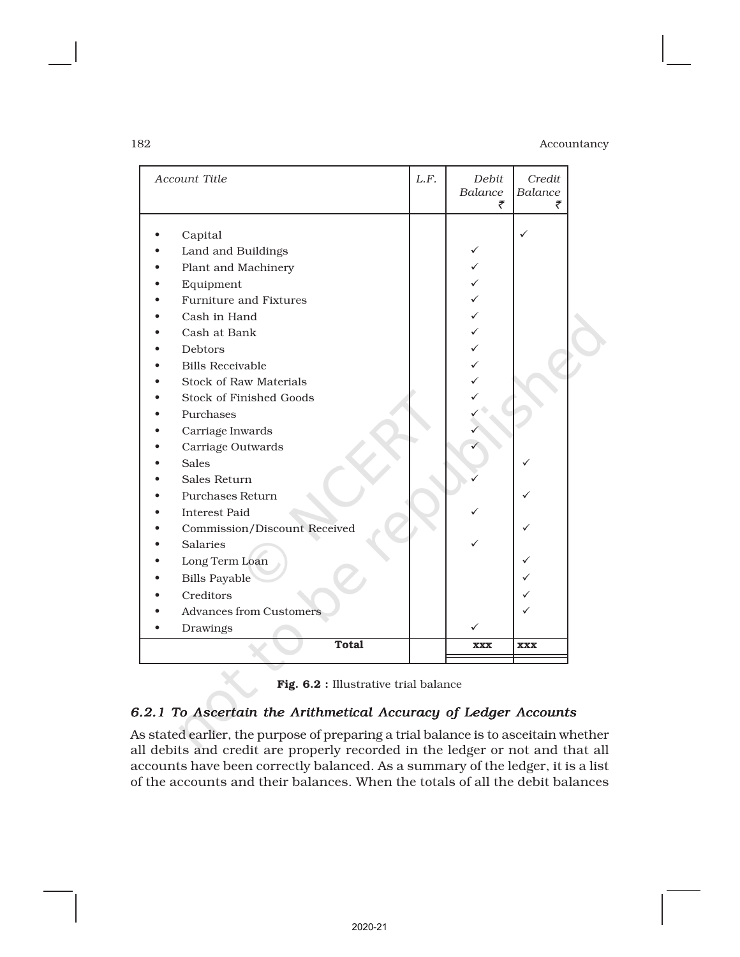182 Accountancy

| <b>Account Title</b>           | L.F. | Debit<br>Balance | Credit<br><b>Balance</b> |  |
|--------------------------------|------|------------------|--------------------------|--|
|                                |      | ₹                | ₹                        |  |
|                                |      |                  |                          |  |
| Capital                        |      |                  |                          |  |
| Land and Buildings             |      |                  |                          |  |
| Plant and Machinery            |      |                  |                          |  |
| Equipment                      |      |                  |                          |  |
| <b>Furniture and Fixtures</b>  |      |                  |                          |  |
| Cash in Hand                   |      |                  |                          |  |
| Cash at Bank                   |      |                  |                          |  |
| <b>Debtors</b>                 |      |                  |                          |  |
| <b>Bills Receivable</b>        |      |                  |                          |  |
| <b>Stock of Raw Materials</b>  |      |                  |                          |  |
| <b>Stock of Finished Goods</b> |      |                  |                          |  |
| Purchases                      |      |                  |                          |  |
| Carriage Inwards               |      |                  |                          |  |
| Carriage Outwards              |      |                  |                          |  |
| <b>Sales</b>                   |      |                  |                          |  |
| Sales Return                   |      |                  |                          |  |
| Purchases Return               |      |                  |                          |  |
| <b>Interest Paid</b>           |      |                  |                          |  |
| Commission/Discount Received   |      |                  |                          |  |
| <b>Salaries</b>                |      |                  |                          |  |
| Long Term Loan                 |      |                  |                          |  |
| <b>Bills Payable</b>           |      |                  |                          |  |
| Creditors                      |      |                  |                          |  |
| <b>Advances from Customers</b> |      |                  |                          |  |
| Drawings                       |      |                  |                          |  |
| <b>Total</b>                   |      | <b>XXX</b>       | <b>XXX</b>               |  |
|                                |      |                  |                          |  |

## *6.2.1 To Ascertain the Arithmetical Accuracy of Ledger Accounts*

As stated earlier, the purpose of preparing a trial balance is to asceitain whether all debits and credit are properly recorded in the ledger or not and that all accounts have been correctly balanced. As a summary of the ledger, it is a list of the accounts and their balances. When the totals of all the debit balances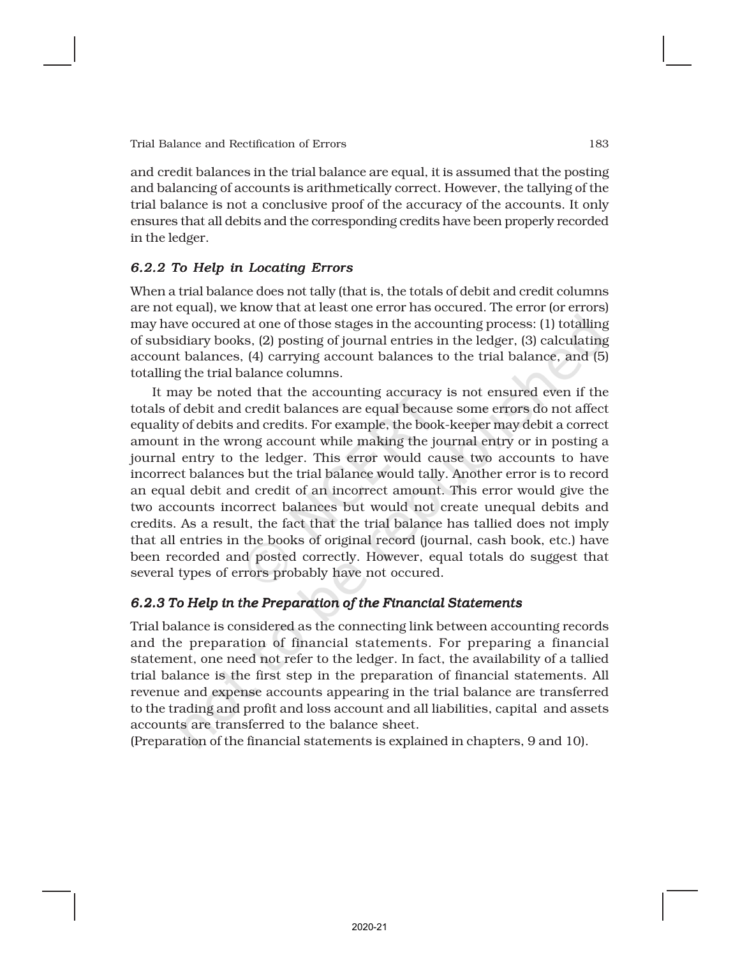and credit balances in the trial balance are equal, it is assumed that the posting and balancing of accounts is arithmetically correct. However, the tallying of the trial balance is not a conclusive proof of the accuracy of the accounts. It only ensures that all debits and the corresponding credits have been properly recorded in the ledger.

## *6.2.2 To Help in Locating Errors*

When a trial balance does not tally (that is, the totals of debit and credit columns are not equal), we know that at least one error has occured. The error (or errors) may have occured at one of those stages in the accounting process: (1) totalling of subsidiary books, (2) posting of journal entries in the ledger, (3) calculating account balances, (4) carrying account balances to the trial balance, and (5) totalling the trial balance columns.

It may be noted that the accounting accuracy is not ensured even if the totals of debit and credit balances are equal because some errors do not affect equality of debits and credits. For example, the book-keeper may debit a correct amount in the wrong account while making the journal entry or in posting a journal entry to the ledger. This error would cause two accounts to have incorrect balances but the trial balance would tally. Another error is to record an equal debit and credit of an incorrect amount. This error would give the two accounts incorrect balances but would not create unequal debits and credits. As a result, the fact that the trial balance has tallied does not imply that all entries in the books of original record (journal, cash book, etc.) have been recorded and posted correctly. However, equal totals do suggest that several types of errors probably have not occured.

## *6.2.3 To Help in the Preparation of the Financial Statements*

Trial balance is considered as the connecting link between accounting records and the preparation of financial statements. For preparing a financial statement, one need not refer to the ledger. In fact, the availability of a tallied trial balance is the first step in the preparation of financial statements. All revenue and expense accounts appearing in the trial balance are transferred to the trading and profit and loss account and all liabilities, capital and assets accounts are transferred to the balance sheet.

(Preparation of the financial statements is explained in chapters, 9 and 10).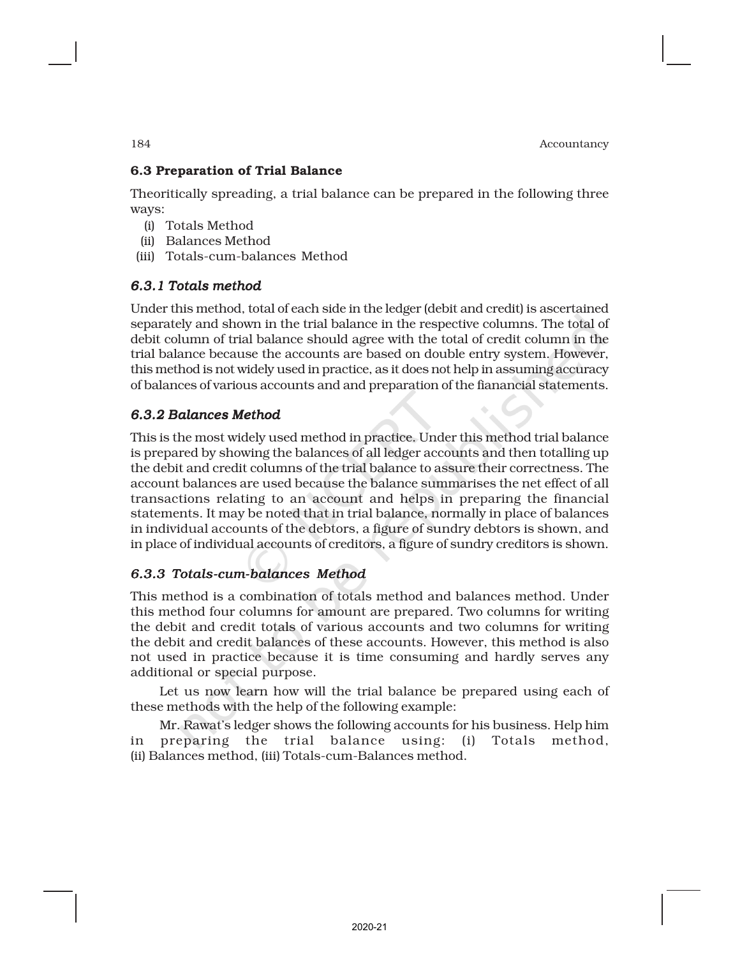## 6.3 Preparation of Trial Balance

Theoritically spreading, a trial balance can be prepared in the following three ways:

- (i) Totals Method
- (ii) Balances Method
- (iii) Totals-cum-balances Method

## *6.3.1 Totals method*

Under this method, total of each side in the ledger (debit and credit) is ascertained separately and shown in the trial balance in the respective columns. The total of debit column of trial balance should agree with the total of credit column in the trial balance because the accounts are based on double entry system. However, this method is not widely used in practice, as it does not help in assuming accuracy of balances of various accounts and and preparation of the fianancial statements.

## *6.3.2 Balances Method*

This is the most widely used method in practice. Under this method trial balance is prepared by showing the balances of all ledger accounts and then totalling up the debit and credit columns of the trial balance to assure their correctness. The account balances are used because the balance summarises the net effect of all transactions relating to an account and helps in preparing the financial statements. It may be noted that in trial balance, normally in place of balances in individual accounts of the debtors, a figure of sundry debtors is shown, and in place of individual accounts of creditors, a figure of sundry creditors is shown.

## *6.3.3 Totals-cum-balances Method*

This method is a combination of totals method and balances method. Under this method four columns for amount are prepared. Two columns for writing the debit and credit totals of various accounts and two columns for writing the debit and credit balances of these accounts. However, this method is also not used in practice because it is time consuming and hardly serves any additional or special purpose.

Let us now learn how will the trial balance be prepared using each of these methods with the help of the following example:

Mr. Rawat's ledger shows the following accounts for his business. Help him in preparing the trial balance using: (i) Totals method, (ii) Balances method, (iii) Totals-cum-Balances method.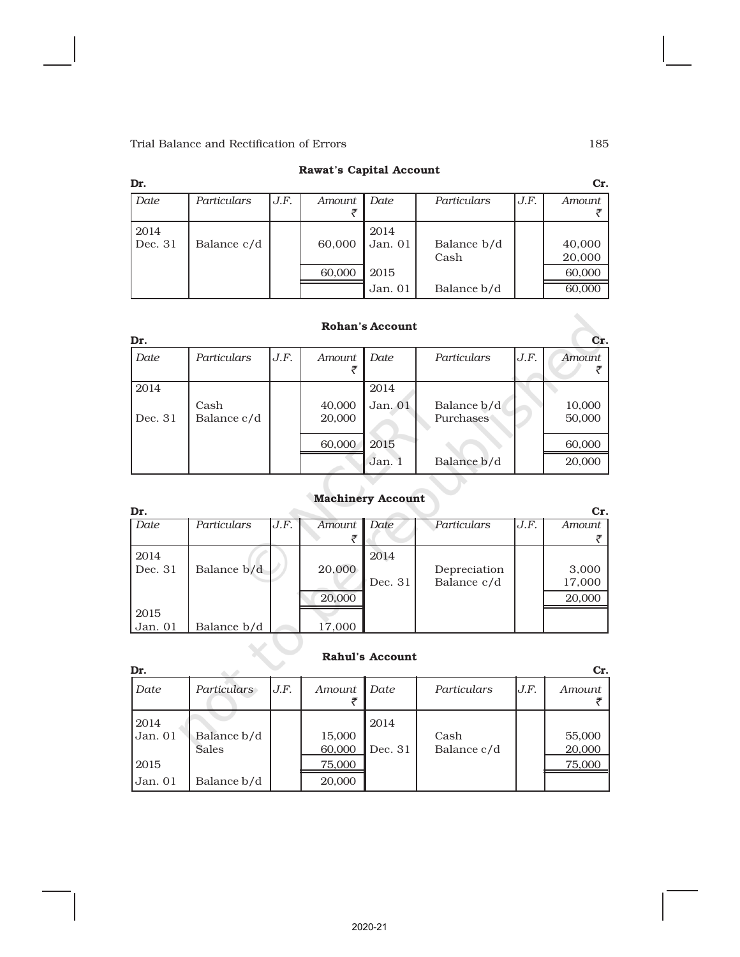| Dr.             |             |      |        |                 |                     |      | Cr.              |
|-----------------|-------------|------|--------|-----------------|---------------------|------|------------------|
| Date            | Particulars | J.F. | Amount | Date            | Particulars         | J.F. | Amount           |
| 2014<br>Dec. 31 | Balance c/d |      | 60,000 | 2014<br>Jan. 01 | Balance b/d<br>Cash |      | 40,000<br>20,000 |
|                 |             |      | 60,000 | 2015            |                     |      | 60,000           |
|                 |             |      |        | Jan. 01         | Balance b/d         |      | 60,000           |

## Rawat's Capital Account

### Rohan's Account

| Dr.     |                    |      |        |           |             |      | Cr.    |
|---------|--------------------|------|--------|-----------|-------------|------|--------|
| Date    | <b>Particulars</b> | J.F. | Amount | Date      | Particulars | J.F. | Amount |
| 2014    |                    |      |        | 2014      |             |      |        |
|         | Cash               |      | 40,000 | Jan. $01$ | Balance b/d |      | 10,000 |
| Dec. 31 | Balance c/d        |      | 20,000 |           | Purchases   |      | 50,000 |
|         |                    |      | 60,000 | 2015      |             |      | 60,000 |
|         |                    |      |        | Jan. 1    | Balance b/d |      | 20,000 |

## Machinery Account

| Dr.     |             |      |        |         |              |      | Cr.    |
|---------|-------------|------|--------|---------|--------------|------|--------|
| Date    | Particulars | J.F. | Amount | Date    | Particulars  | J.F. | Amount |
|         |             |      |        |         |              |      |        |
| 2014    |             |      |        | 2014    |              |      |        |
| Dec. 31 | Balance b/d |      | 20,000 |         | Depreciation |      | 3,000  |
|         |             |      |        | Dec. 31 | Balance c/d  |      | 17,000 |
|         |             |      | 20,000 |         |              |      | 20,000 |
| 2015    |             |      |        |         |              |      |        |
| Jan. 01 | Balance b/d |      | 17,000 |         |              |      |        |

# Rahul's Account

| Dr.                     | Cr.                         |      |                            |                 |                     |      |                            |  |  |
|-------------------------|-----------------------------|------|----------------------------|-----------------|---------------------|------|----------------------------|--|--|
| Date                    | <b>Particulars</b>          | J.F. | Amount                     | Date            | Particulars         | J.F. | Amount                     |  |  |
| 2014<br>Jan. 01<br>2015 | Balance b/d<br><b>Sales</b> |      | 15,000<br>60,000<br>75,000 | 2014<br>Dec. 31 | Cash<br>Balance c/d |      | 55,000<br>20,000<br>75,000 |  |  |
| Jan. 01                 | Balance b/d                 |      | 20,000                     |                 |                     |      |                            |  |  |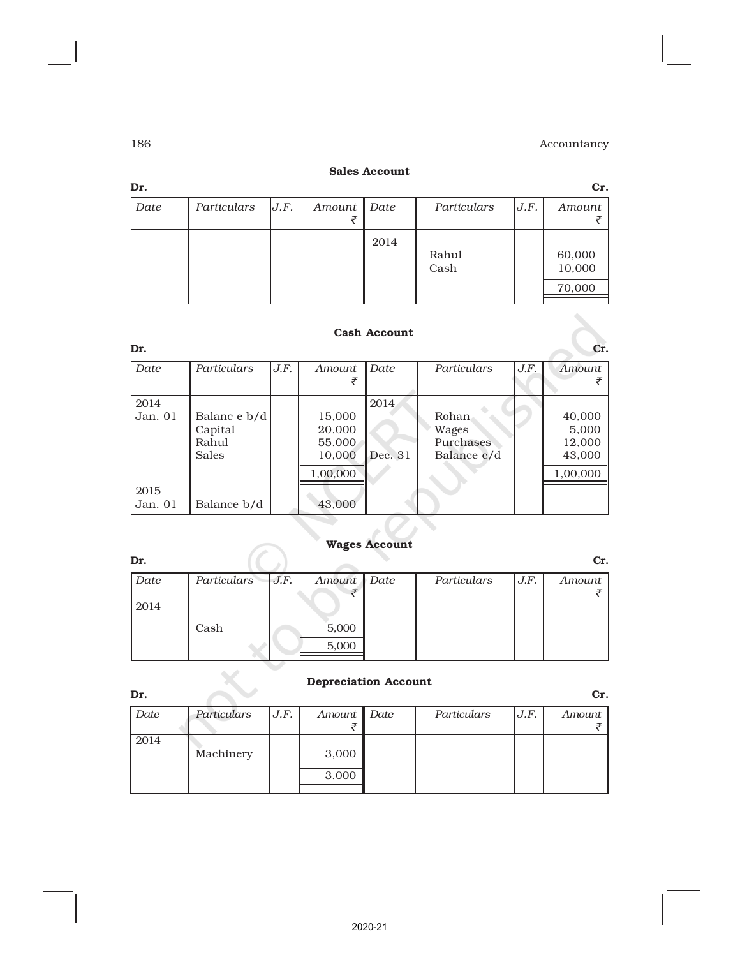### Sales Account

| Dr.  |             |      |             |      |               |      | Cr.              |
|------|-------------|------|-------------|------|---------------|------|------------------|
| Date | Particulars | J.F. | Amount Date |      | Particulars   | J.F. | Amount           |
|      |             |      |             | 2014 | Rahul<br>Cash |      | 60,000<br>10,000 |
|      |             |      |             |      |               |      | 70,000           |

### Cash Account

| Dr.       |              |      |          |         |             |      | Cr.      |
|-----------|--------------|------|----------|---------|-------------|------|----------|
| Date      | Particulars  | J.F. | Amount   | Date    | Particulars | J.F. | Amount   |
|           |              |      |          |         |             |      |          |
| 2014      |              |      |          | 2014    |             |      |          |
| Jan. $01$ | Balanc e b/d |      | 15,000   |         | Rohan       |      | 40,000   |
|           | Capital      |      | 20,000   |         | Wages       |      | 5,000    |
|           | Rahul        |      | 55,000   |         | Purchases   |      | 12,000   |
|           | <b>Sales</b> |      | 10,000   | Dec. 31 | Balance c/d |      | 43,000   |
|           |              |      | 1,00,000 |         |             |      | 1,00,000 |
| 2015      |              |      |          |         |             |      |          |
| Jan. $01$ | Balance b/d  |      | 43,000   |         |             |      |          |

## Wages Account

77

| Dr.  |             |      |             |             |      | Cr.    |
|------|-------------|------|-------------|-------------|------|--------|
| Date | Particulars | J.F. | Amount Date | Particulars | J.F. | Amount |
| 2014 |             |      |             |             |      |        |
|      | Cash        |      | 5,000       |             |      |        |
|      |             |      | 5,000       |             |      |        |

## Depreciation Account

| Dr.  |             |      |        |      |             |      | Cr.    |
|------|-------------|------|--------|------|-------------|------|--------|
| Date | Particulars | J.F. | Amount | Date | Particulars | J.F. | Amount |
| 2014 | Machinery   |      | 3,000  |      |             |      |        |
|      |             |      | 3,000  |      |             |      |        |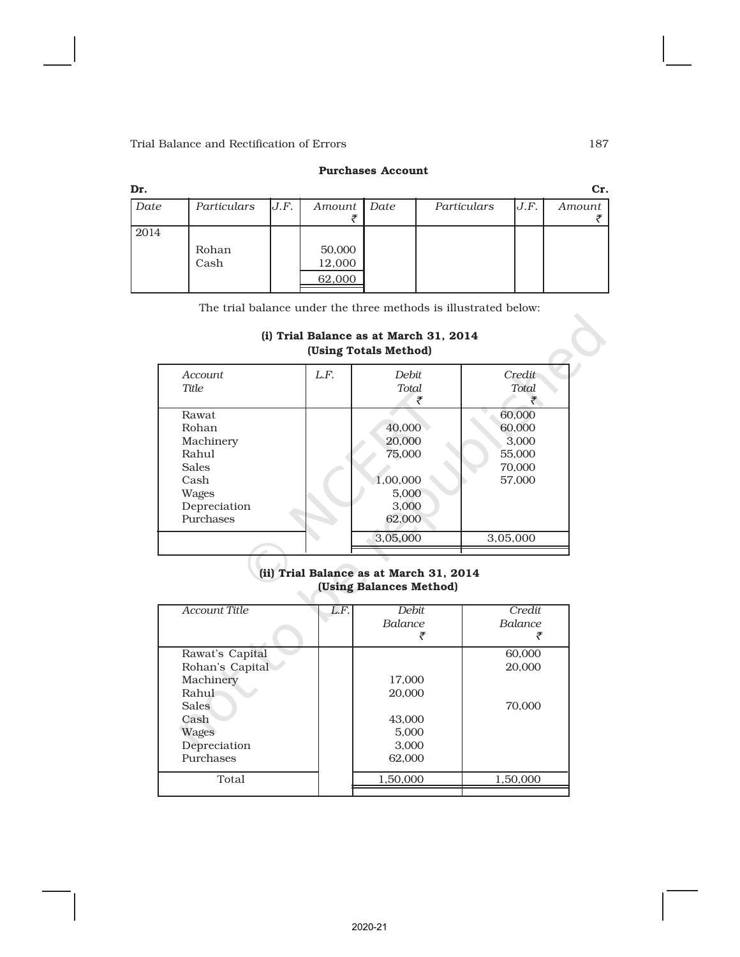### Purchases Account

| Dr.  |             |      |             |             |      | Cr.    |
|------|-------------|------|-------------|-------------|------|--------|
| Date | Particulars | J.F. | Amount Date | Particulars | J.F. | Amount |
|      |             |      |             |             |      |        |
| 2014 |             |      |             |             |      |        |
|      | Rohan       |      | 50,000      |             |      |        |
|      | Cash        |      | 12,000      |             |      |        |
|      |             |      | 62,000      |             |      |        |
|      |             |      |             |             |      |        |

The trial balance under the three methods is illustrated below:

## (i) Trial Balance as at March 31, 2014 (Using Totals Method)

| <i>Account</i><br>Title                                                                                   | L.F. | <b>Debit</b><br><b>Total</b>                                       | Credit<br><b>Total</b>                                  |
|-----------------------------------------------------------------------------------------------------------|------|--------------------------------------------------------------------|---------------------------------------------------------|
| <b>Rawat</b><br>Rohan<br>Machinery<br>Rahul<br><b>Sales</b><br>Cash<br>Wages<br>Depreciation<br>Purchases |      | 40,000<br>20,000<br>75,000<br>1,00,000<br>5,000<br>3,000<br>62,000 | 60,000<br>60,000<br>3.000<br>55,000<br>70,000<br>57,000 |
|                                                                                                           |      | 3.05.000                                                           | 3,05,000                                                |

## (ii) Trial Balance as at March 31, 2014 (Using Balances Method)

| Account Title   | L.F. | <b>Debit</b><br>Balance | Credit<br><b>Balance</b> |
|-----------------|------|-------------------------|--------------------------|
| Rawat's Capital |      |                         | 60,000                   |
| Rohan's Capital |      |                         | 20,000                   |
| Machinery       |      | 17,000                  |                          |
| Rahul           |      | 20,000                  |                          |
| <b>Sales</b>    |      |                         | 70,000                   |
| Cash            |      | 43,000                  |                          |
| Wages           |      | 5,000                   |                          |
| Depreciation    |      | 3,000                   |                          |
| Purchases       |      | 62,000                  |                          |
| Total           |      | 1.50.000                | 1.50,000                 |
|                 |      |                         |                          |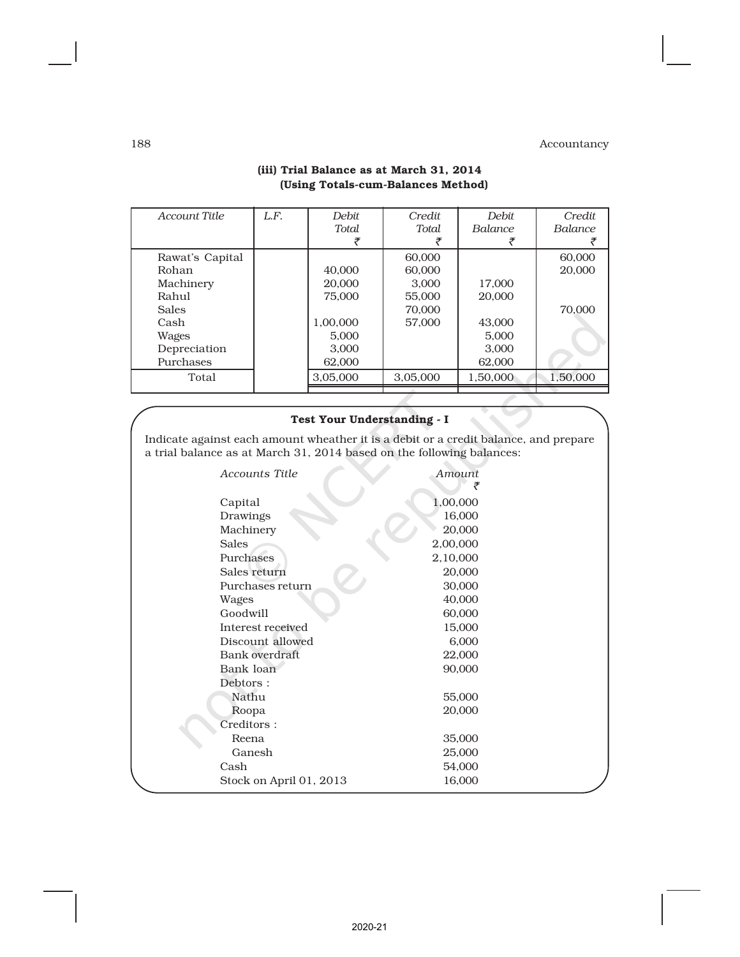188 Accountancy

| Account Title   | L.F. | <b>Debit</b><br><b>Total</b> | Credit<br><b>Total</b> | <b>Debit</b><br><b>Balance</b> | Credit<br><b>Balance</b> |
|-----------------|------|------------------------------|------------------------|--------------------------------|--------------------------|
| Rawat's Capital |      |                              | 60,000                 |                                | 60,000                   |
| Rohan           |      | 40,000                       | 60,000                 |                                | 20,000                   |
| Machinery       |      | 20,000                       | 3.000                  | 17.000                         |                          |
| Rahul           |      | 75,000                       | 55,000                 | 20,000                         |                          |
| <b>Sales</b>    |      |                              | 70,000                 |                                | 70,000                   |
| Cash            |      | 1.00.000                     | 57,000                 | 43,000                         |                          |
| Wages           |      | 5.000                        |                        | 5,000                          |                          |
| Depreciation    |      | 3.000                        |                        | 3.000                          |                          |
| Purchases       |      | 62,000                       |                        | 62,000                         |                          |
| Total           |      | 3.05.000                     | 3.05.000               | 1.50.000                       | 1.50.000                 |
|                 |      |                              |                        |                                |                          |

## (iii) Trial Balance as at March 31, 2014 (Using Totals-cum-Balances Method)

| Test Your Understanding - I                                           |                                                                                      |
|-----------------------------------------------------------------------|--------------------------------------------------------------------------------------|
| a trial balance as at March 31, 2014 based on the following balances: | Indicate against each amount wheather it is a debit or a credit balance, and prepare |
| <b>Accounts Title</b>                                                 | Amount                                                                               |
|                                                                       | ₹                                                                                    |
| Capital                                                               | 1,00,000                                                                             |
| Drawings                                                              | 16,000                                                                               |
| Machinery                                                             | 20,000                                                                               |
| <b>Sales</b>                                                          | 2,00,000                                                                             |
| Purchases                                                             | 2,10,000                                                                             |
| Sales return                                                          | 20,000                                                                               |
| Purchases return                                                      | 30,000                                                                               |
| Wages                                                                 | 40,000                                                                               |
| Goodwill                                                              | 60,000                                                                               |
| Interest received                                                     | 15,000                                                                               |
| Discount allowed                                                      | 6.000                                                                                |
| Bank overdraft                                                        | 22,000                                                                               |
| Bank loan                                                             | 90,000                                                                               |
| Debtors:                                                              |                                                                                      |
| Nathu                                                                 | 55,000                                                                               |
| Roopa                                                                 | 20,000                                                                               |
| Creditors:                                                            |                                                                                      |
| Reena                                                                 | 35,000                                                                               |
| Ganesh                                                                | 25,000                                                                               |
| Cash                                                                  | 54,000                                                                               |
| Stock on April 01, 2013                                               | 16,000                                                                               |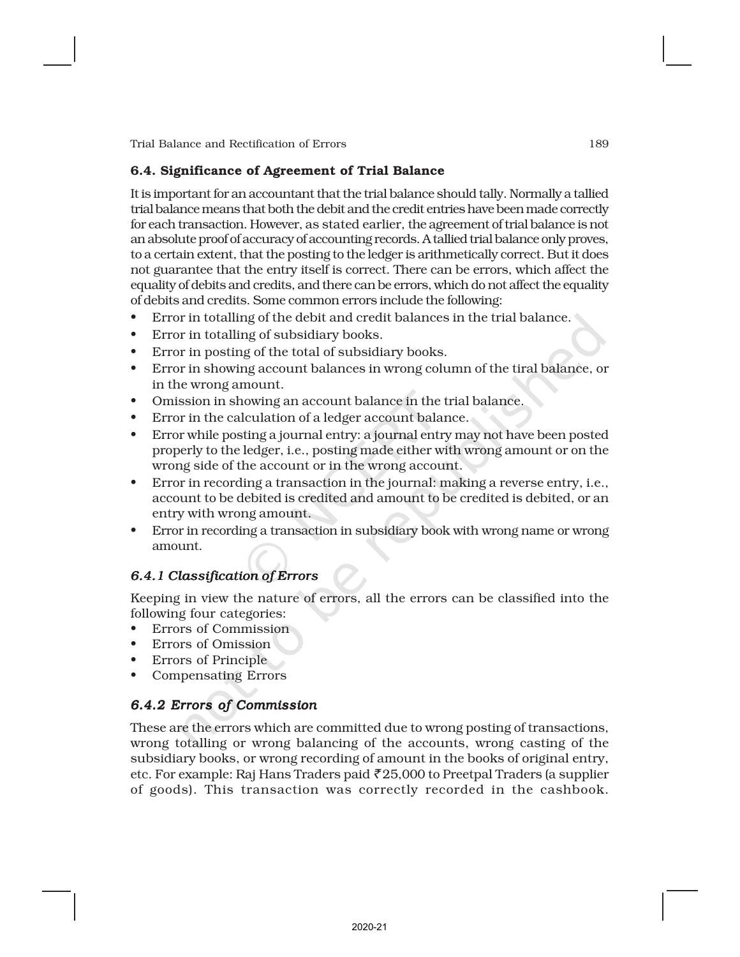## 6.4. Significance of Agreement of Trial Balance

It is important for an accountant that the trial balance should tally. Normally a tallied trial balance means that both the debit and the credit entries have been made correctly for each transaction. However, as stated earlier, the agreement of trial balance is not an absolute proof of accuracy of accounting records. A tallied trial balance only proves, to a certain extent, that the posting to the ledger is arithmetically correct. But it does not guarantee that the entry itself is correct. There can be errors, which affect the equality of debits and credits, and there can be errors, which do not affect the equality of debits and credits. Some common errors include the following:

- Error in totalling of the debit and credit balances in the trial balance.
- Error in totalling of subsidiary books.
- Error in posting of the total of subsidiary books.
- Error in showing account balances in wrong column of the tiral balance, or in the wrong amount.
- Omission in showing an account balance in the trial balance.
- Error in the calculation of a ledger account balance.
- Error while posting a journal entry: a journal entry may not have been posted properly to the ledger, i.e., posting made either with wrong amount or on the wrong side of the account or in the wrong account.
- Error in recording a transaction in the journal: making a reverse entry, i.e., account to be debited is credited and amount to be credited is debited, or an entry with wrong amount.
- Error in recording a transaction in subsidiary book with wrong name or wrong amount.

## *6.4.1 Classification of Errors*

Keeping in view the nature of errors, all the errors can be classified into the following four categories:

- Errors of Commission
- Errors of Omission
- Errors of Principle
- Compensating Errors

## *6.4.2 Errors of Commission*

These are the errors which are committed due to wrong posting of transactions, wrong totalling or wrong balancing of the accounts, wrong casting of the subsidiary books, or wrong recording of amount in the books of original entry, etc. For example: Raj Hans Traders paid  $\bar{\tau}$ 25,000 to Preetpal Traders (a supplier of goods). This transaction was correctly recorded in the cashbook.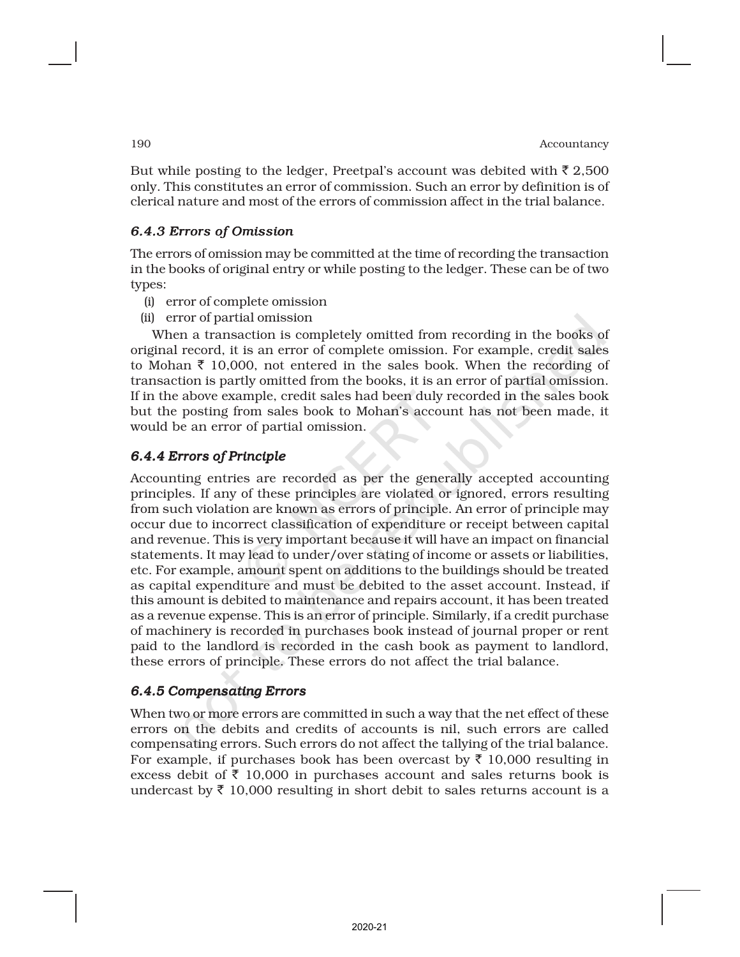But while posting to the ledger, Preetpal's account was debited with  $\bar{\tau}$  2,500 only. This constitutes an error of commission. Such an error by definition is of clerical nature and most of the errors of commission affect in the trial balance.

## *6.4.3 Errors of Omission*

The errors of omission may be committed at the time of recording the transaction in the books of original entry or while posting to the ledger. These can be of two types:

- (i) error of complete omission
- (ii) error of partial omission

When a transaction is completely omitted from recording in the books of original record, it is an error of complete omission. For example, credit sales to Mohan  $\bar{\tau}$  10,000, not entered in the sales book. When the recording of transaction is partly omitted from the books, it is an error of partial omission. If in the above example, credit sales had been duly recorded in the sales book but the posting from sales book to Mohan's account has not been made, it would be an error of partial omission.

## *6.4.4 Errors of Principle*

Accounting entries are recorded as per the generally accepted accounting principles. If any of these principles are violated or ignored, errors resulting from such violation are known as errors of principle. An error of principle may occur due to incorrect classification of expenditure or receipt between capital and revenue. This is very important because it will have an impact on financial statements. It may lead to under/over stating of income or assets or liabilities, etc. For example, amount spent on additions to the buildings should be treated as capital expenditure and must be debited to the asset account. Instead, if this amount is debited to maintenance and repairs account, it has been treated as a revenue expense. This is an error of principle. Similarly, if a credit purchase of machinery is recorded in purchases book instead of journal proper or rent paid to the landlord is recorded in the cash book as payment to landlord, these errors of principle. These errors do not affect the trial balance.

## *6.4.5 Compensating Errors*

When two or more errors are committed in such a way that the net effect of these errors on the debits and credits of accounts is nil, such errors are called compensating errors. Such errors do not affect the tallying of the trial balance. For example, if purchases book has been overcast by  $\bar{\tau}$  10,000 resulting in excess debit of  $\bar{\tau}$  10,000 in purchases account and sales returns book is undercast by  $\bar{\tau}$  10,000 resulting in short debit to sales returns account is a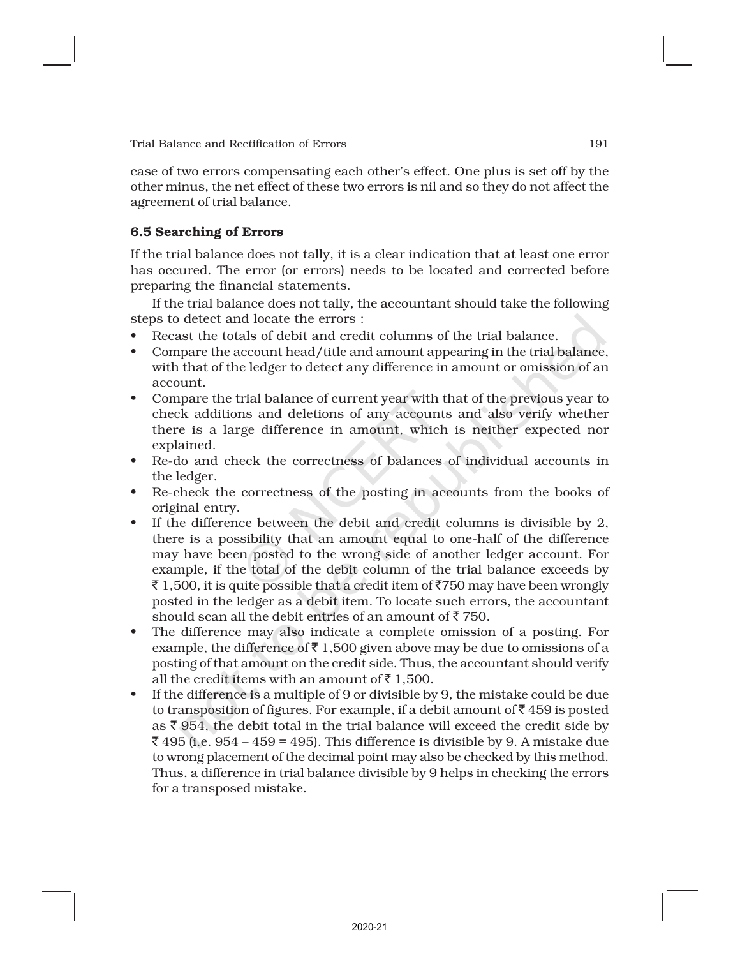case of two errors compensating each other's effect. One plus is set off by the other minus, the net effect of these two errors is nil and so they do not affect the agreement of trial balance.

## 6.5 Searching of Errors

If the trial balance does not tally, it is a clear indication that at least one error has occured. The error (or errors) needs to be located and corrected before preparing the financial statements.

If the trial balance does not tally, the accountant should take the following steps to detect and locate the errors :

- Recast the totals of debit and credit columns of the trial balance.
- Compare the account head/title and amount appearing in the trial balance, with that of the ledger to detect any difference in amount or omission of an account.
- Compare the trial balance of current year with that of the previous year to check additions and deletions of any accounts and also verify whether there is a large difference in amount, which is neither expected nor explained.
- Re-do and check the correctness of balances of individual accounts in the ledger.
- Re-check the correctness of the posting in accounts from the books of original entry.
- If the difference between the debit and credit columns is divisible by 2, there is a possibility that an amount equal to one-half of the difference may have been posted to the wrong side of another ledger account. For example, if the total of the debit column of the trial balance exceeds by  $\bar{\tau}$  1,500, it is quite possible that a credit item of  $\bar{\tau}$ 750 may have been wrongly posted in the ledger as a debit item. To locate such errors, the accountant should scan all the debit entries of an amount of  $\bar{z}$  750.
- The difference may also indicate a complete omission of a posting. For example, the difference of  $\bar{\tau}$  1,500 given above may be due to omissions of a posting of that amount on the credit side. Thus, the accountant should verify all the credit items with an amount of  $\bar{z}$  1,500.
- If the difference is a multiple of 9 or divisible by 9, the mistake could be due to transposition of figures. For example, if a debit amount of  $\bar{\tau}$  459 is posted as  $\bar{\zeta}$  954, the debit total in the trial balance will exceed the credit side by  $\bar{\mathcal{F}}$  495 (i.e. 954 – 459 = 495). This difference is divisible by 9. A mistake due to wrong placement of the decimal point may also be checked by this method. Thus, a difference in trial balance divisible by 9 helps in checking the errors for a transposed mistake.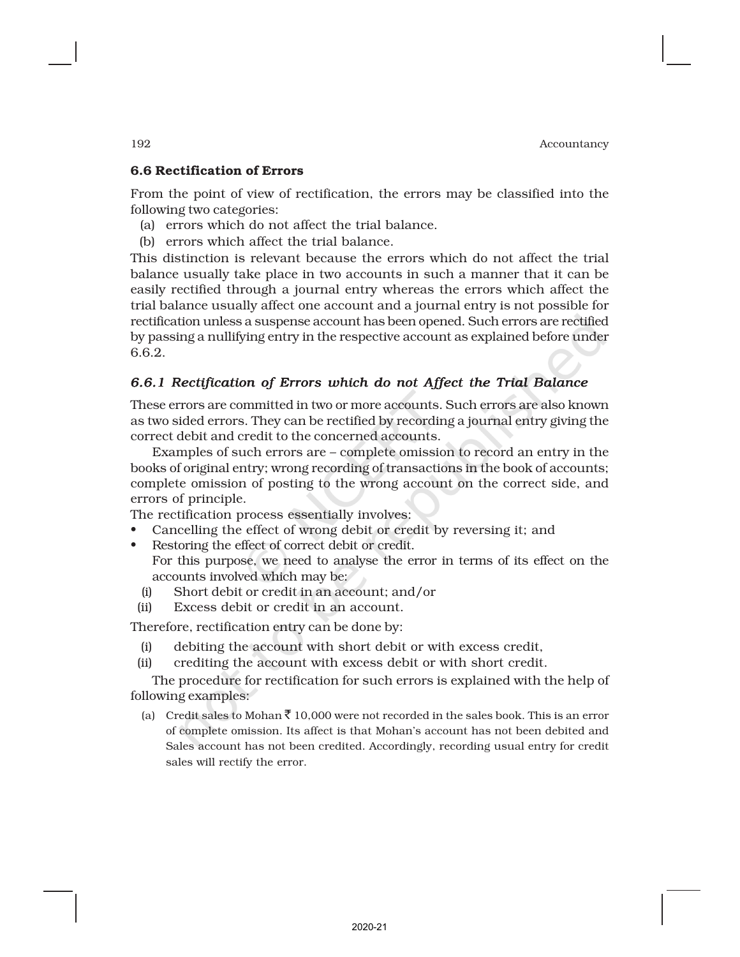### 6.6 Rectification of Errors

From the point of view of rectification, the errors may be classified into the following two categories:

- (a) errors which do not affect the trial balance.
- (b) errors which affect the trial balance.

This distinction is relevant because the errors which do not affect the trial balance usually take place in two accounts in such a manner that it can be easily rectified through a journal entry whereas the errors which affect the trial balance usually affect one account and a journal entry is not possible for rectification unless a suspense account has been opened. Such errors are rectified by passing a nullifying entry in the respective account as explained before under 6.6.2.

## *6.6.1 Rectification of Errors which do not Affect the Trial Balance*

These errors are committed in two or more accounts. Such errors are also known as two sided errors. They can be rectified by recording a journal entry giving the correct debit and credit to the concerned accounts.

Examples of such errors are – complete omission to record an entry in the books of original entry; wrong recording of transactions in the book of accounts; complete omission of posting to the wrong account on the correct side, and errors of principle.

The rectification process essentially involves:

- Cancelling the effect of wrong debit or credit by reversing it; and
- Restoring the effect of correct debit or credit.

For this purpose, we need to analyse the error in terms of its effect on the accounts involved which may be:

- (i) Short debit or credit in an account; and/or
- (ii) Excess debit or credit in an account.

Therefore, rectification entry can be done by:

- (i) debiting the account with short debit or with excess credit,
- (ii) crediting the account with excess debit or with short credit.

The procedure for rectification for such errors is explained with the help of following examples:

(a) Credit sales to Mohan  $\bar{\mathcal{F}}$  10,000 were not recorded in the sales book. This is an error of complete omission. Its affect is that Mohan's account has not been debited and Sales account has not been credited. Accordingly, recording usual entry for credit sales will rectify the error.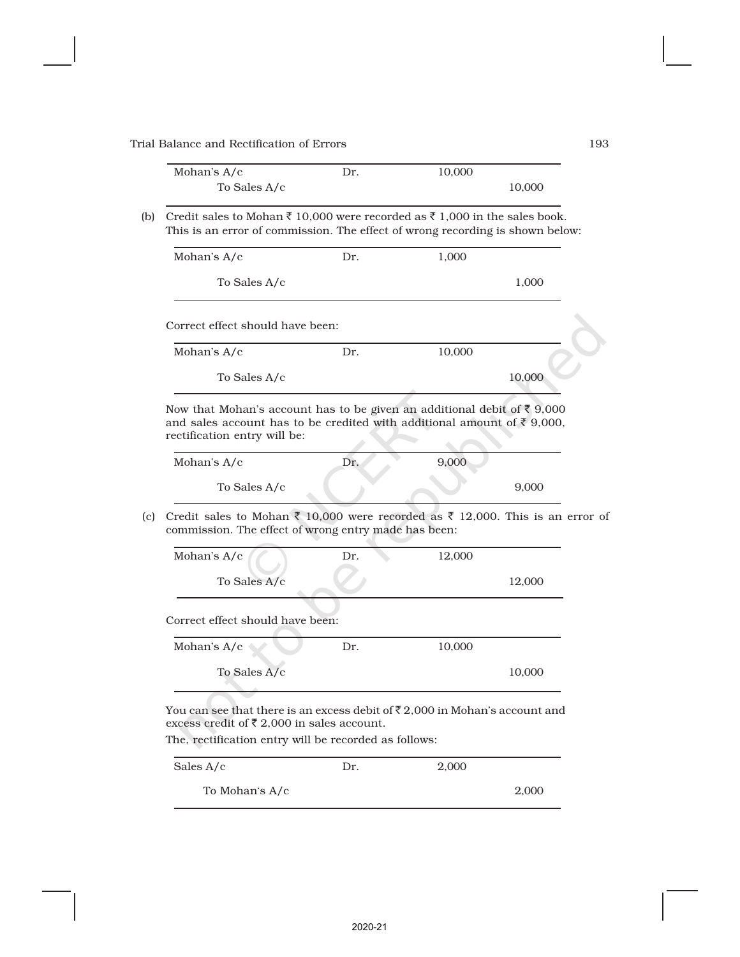| Mohan's A/c                                                                   | Dr.                                                                       | 10,000                                  |                                                                                                                                                                                                                                                                                                                                                 |
|-------------------------------------------------------------------------------|---------------------------------------------------------------------------|-----------------------------------------|-------------------------------------------------------------------------------------------------------------------------------------------------------------------------------------------------------------------------------------------------------------------------------------------------------------------------------------------------|
| To Sales A/c                                                                  |                                                                           |                                         | 10,000                                                                                                                                                                                                                                                                                                                                          |
|                                                                               |                                                                           |                                         |                                                                                                                                                                                                                                                                                                                                                 |
|                                                                               | Dr.                                                                       | 1,000                                   |                                                                                                                                                                                                                                                                                                                                                 |
| To Sales A/c                                                                  |                                                                           |                                         | 1,000                                                                                                                                                                                                                                                                                                                                           |
|                                                                               |                                                                           |                                         |                                                                                                                                                                                                                                                                                                                                                 |
|                                                                               | Dr.                                                                       | 10,000                                  |                                                                                                                                                                                                                                                                                                                                                 |
| To Sales A/c                                                                  |                                                                           |                                         | 10,000                                                                                                                                                                                                                                                                                                                                          |
| To Sales A/c                                                                  |                                                                           |                                         | 9,000                                                                                                                                                                                                                                                                                                                                           |
|                                                                               |                                                                           |                                         |                                                                                                                                                                                                                                                                                                                                                 |
| Credit sales to Mohan ₹ 10,000 were recorded as ₹ 12,000. This is an error of |                                                                           |                                         |                                                                                                                                                                                                                                                                                                                                                 |
| commission. The effect of wrong entry made has been:                          | Dr.                                                                       |                                         |                                                                                                                                                                                                                                                                                                                                                 |
| Mohan's A/c<br>To Sales A/c                                                   |                                                                           | 12,000                                  | 12,000                                                                                                                                                                                                                                                                                                                                          |
| Correct effect should have been:                                              |                                                                           |                                         |                                                                                                                                                                                                                                                                                                                                                 |
| Mohan's A/c                                                                   | Dr.                                                                       | 10,000                                  |                                                                                                                                                                                                                                                                                                                                                 |
|                                                                               | Mohan's A/c<br>Mohan's A/c<br>rectification entry will be:<br>Mohan's A/c | Correct effect should have been:<br>Dr. | Credit sales to Mohan ₹ 10,000 were recorded as ₹ 1,000 in the sales book.<br>This is an error of commission. The effect of wrong recording is shown below:<br>Now that Mohan's account has to be given an additional debit of $\bar{\xi}$ 9,000<br>and sales account has to be credited with additional amount of $\bar{\tau}$ 9,000,<br>9,000 |

| Sales A/c      | Dr. | 2,000 |       |
|----------------|-----|-------|-------|
| To Mohan's A/c |     |       | 2.000 |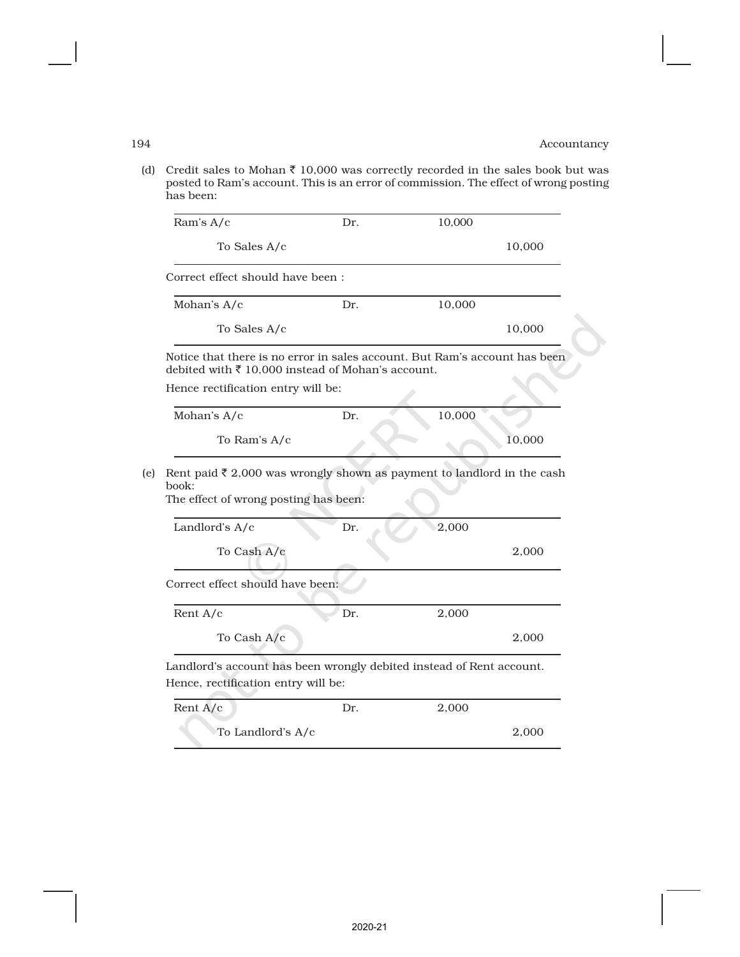(d) Credit sales to Mohan  $\overline{\tilde{\tau}}$  10,000 was correctly recorded in the sales book but was posted to Ram's account. This is an error of commission. The effect of wrong posting has been:

| Ram's A/c                                                                                                                                  | Dr. | 10,000 |        |
|--------------------------------------------------------------------------------------------------------------------------------------------|-----|--------|--------|
| To Sales A/c                                                                                                                               |     |        | 10,000 |
| Correct effect should have been:                                                                                                           |     |        |        |
| Mohan's A/c                                                                                                                                | Dr. | 10,000 |        |
| To Sales A/c                                                                                                                               |     |        | 10,000 |
| Notice that there is no error in sales account. But Ram's account has been<br>debited with $\bar{\tau}$ 10,000 instead of Mohan's account. |     |        |        |
| Hence rectification entry will be:                                                                                                         |     |        |        |
| Mohan's A/c                                                                                                                                | Dr. | 10,000 |        |
| To Ram's A/c                                                                                                                               |     |        | 10,000 |
| The effect of wrong posting has been:<br>Landlord's A/c                                                                                    | Dr. | 2,000  |        |
| To Cash A/c                                                                                                                                |     |        | 2,000  |
| Correct effect should have been:                                                                                                           |     |        |        |
| Rent A/c                                                                                                                                   | Dr. | 2,000  |        |
| To Cash A/c                                                                                                                                |     |        | 2,000  |
| Landlord's account has been wrongly debited instead of Rent account.                                                                       |     |        |        |
|                                                                                                                                            |     |        |        |
|                                                                                                                                            |     |        |        |
| Hence, rectification entry will be:<br>Rent A/c                                                                                            | Dr. | 2,000  |        |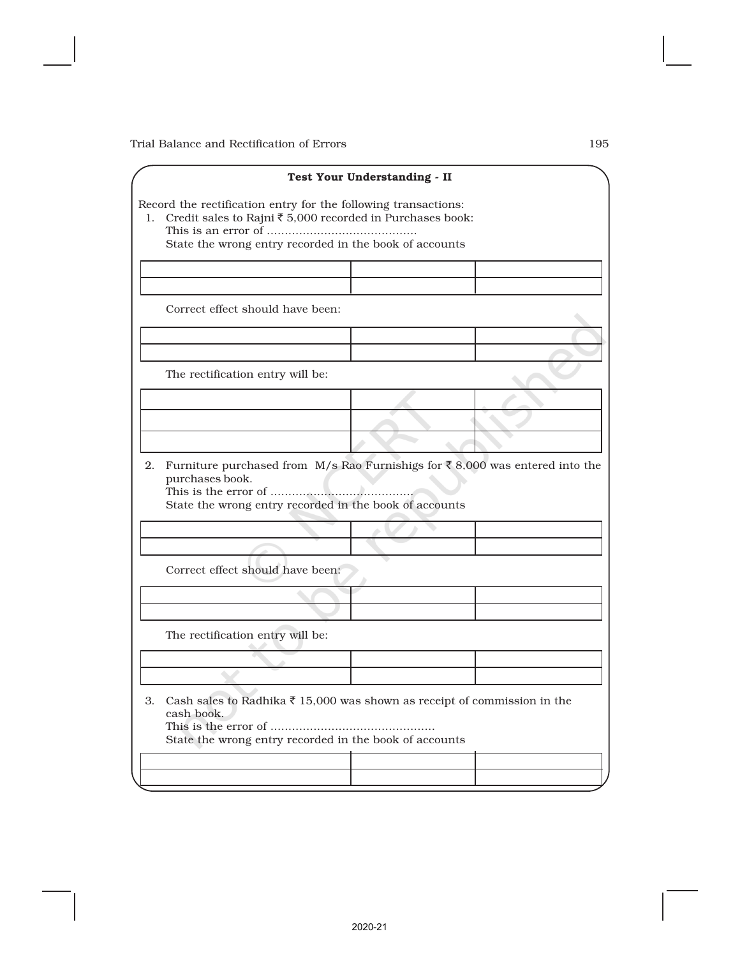|    |                                                                                                                                                             | Test Your Understanding - II |  |
|----|-------------------------------------------------------------------------------------------------------------------------------------------------------------|------------------------------|--|
| 1. | Record the rectification entry for the following transactions:<br>Credit sales to Rajni $\overline{\overline{\epsilon}}$ 5,000 recorded in Purchases book:  |                              |  |
|    | State the wrong entry recorded in the book of accounts                                                                                                      |                              |  |
|    |                                                                                                                                                             |                              |  |
|    |                                                                                                                                                             |                              |  |
|    | Correct effect should have been:                                                                                                                            |                              |  |
|    |                                                                                                                                                             |                              |  |
|    |                                                                                                                                                             |                              |  |
|    | The rectification entry will be:                                                                                                                            |                              |  |
|    |                                                                                                                                                             |                              |  |
|    |                                                                                                                                                             |                              |  |
|    |                                                                                                                                                             |                              |  |
|    | 2. Furniture purchased from M/s Rao Furnishigs for ₹8,000 was entered into the<br>purchases book.<br>State the wrong entry recorded in the book of accounts |                              |  |
|    |                                                                                                                                                             |                              |  |
|    |                                                                                                                                                             |                              |  |
|    | Correct effect should have been:                                                                                                                            |                              |  |
|    |                                                                                                                                                             |                              |  |
|    |                                                                                                                                                             |                              |  |
|    | The rectification entry will be:                                                                                                                            |                              |  |
|    |                                                                                                                                                             |                              |  |
|    |                                                                                                                                                             |                              |  |
| 3. | Cash sales to Radhika $\bar{z}$ 15,000 was shown as receipt of commission in the<br>cash book.<br>State the wrong entry recorded in the book of accounts    |                              |  |
|    |                                                                                                                                                             |                              |  |
|    |                                                                                                                                                             |                              |  |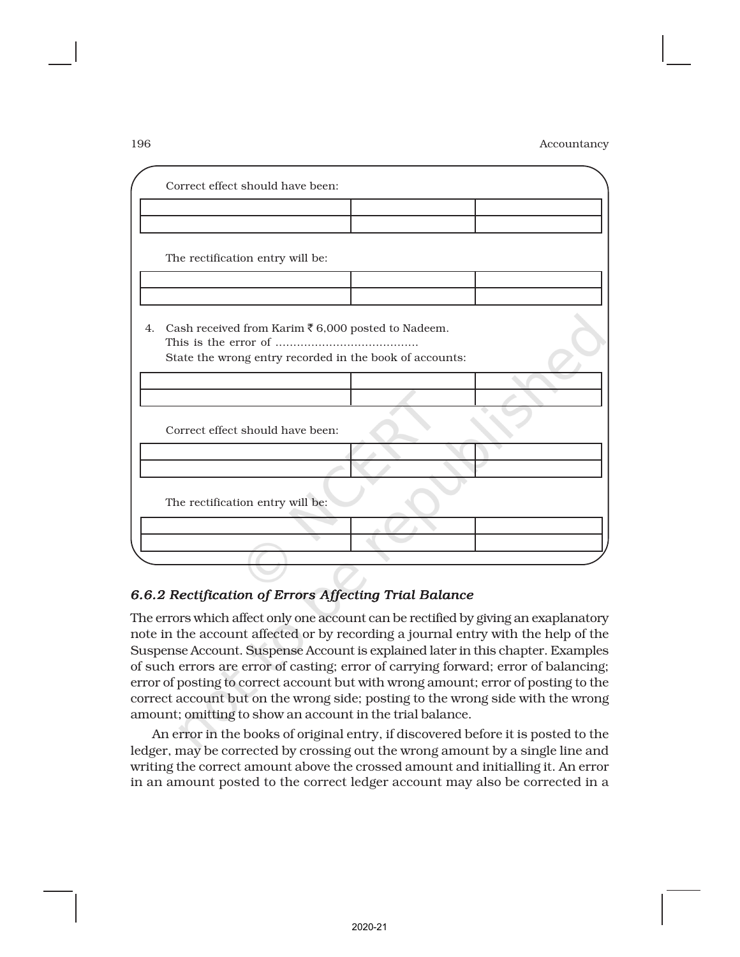### 196 Accountancy

| Correct effect should have been:                                                                                                |  |
|---------------------------------------------------------------------------------------------------------------------------------|--|
|                                                                                                                                 |  |
|                                                                                                                                 |  |
|                                                                                                                                 |  |
| The rectification entry will be:                                                                                                |  |
|                                                                                                                                 |  |
|                                                                                                                                 |  |
| 4. Cash received from Karim $\overline{\xi}$ 6,000 posted to Nadeem.<br>State the wrong entry recorded in the book of accounts: |  |
|                                                                                                                                 |  |
|                                                                                                                                 |  |
| Correct effect should have been:                                                                                                |  |
|                                                                                                                                 |  |
|                                                                                                                                 |  |
| The rectification entry will be:                                                                                                |  |
|                                                                                                                                 |  |
|                                                                                                                                 |  |
|                                                                                                                                 |  |

## *6.6.2 Rectification of Errors Affecting Trial Balance*

The errors which affect only one account can be rectified by giving an exaplanatory note in the account affected or by recording a journal entry with the help of the Suspense Account. Suspense Account is explained later in this chapter. Examples of such errors are error of casting; error of carrying forward; error of balancing; error of posting to correct account but with wrong amount; error of posting to the correct account but on the wrong side; posting to the wrong side with the wrong amount; omitting to show an account in the trial balance.

An error in the books of original entry, if discovered before it is posted to the ledger, may be corrected by crossing out the wrong amount by a single line and writing the correct amount above the crossed amount and initialling it. An error in an amount posted to the correct ledger account may also be corrected in a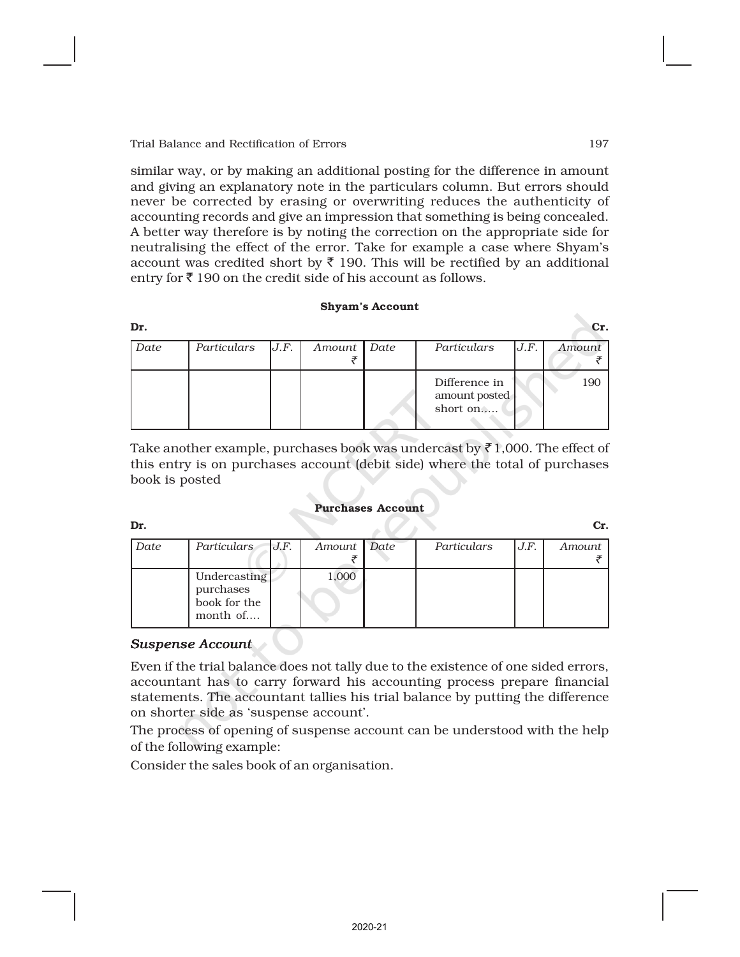similar way, or by making an additional posting for the difference in amount and giving an explanatory note in the particulars column. But errors should never be corrected by erasing or overwriting reduces the authenticity of accounting records and give an impression that something is being concealed. A better way therefore is by noting the correction on the appropriate side for neutralising the effect of the error. Take for example a case where Shyam's account was credited short by  $\bar{\tau}$  190. This will be rectified by an additional entry for  $\bar{\tau}$  190 on the credit side of his account as follows.

### Shyam's Account

| Dr.  |             |      |             |                                            |      | Cr.    |
|------|-------------|------|-------------|--------------------------------------------|------|--------|
| Date | Particulars | J.F. | Amount Date | Particulars                                | J.F. | Amount |
|      |             |      |             | Difference in<br>amount posted<br>short on |      | 190    |

Take another example, purchases book was undercast by  $\bar{\tau}$  1,000. The effect of this entry is on purchases account (debit side) where the total of purchases book is posted

### Purchases Account

| Dr.  |                                                       |      |             |             |      | Cr.    |
|------|-------------------------------------------------------|------|-------------|-------------|------|--------|
| Date | <b>Particulars</b>                                    | J.F. | Amount Date | Particulars | J.F. | Amount |
|      | Undercasting<br>purchases<br>book for the<br>month of |      | 1,000       |             |      |        |

## *Suspense Account*

Even if the trial balance does not tally due to the existence of one sided errors, accountant has to carry forward his accounting process prepare financial statements. The accountant tallies his trial balance by putting the difference on shorter side as 'suspense account'.

The process of opening of suspense account can be understood with the help of the following example:

Consider the sales book of an organisation.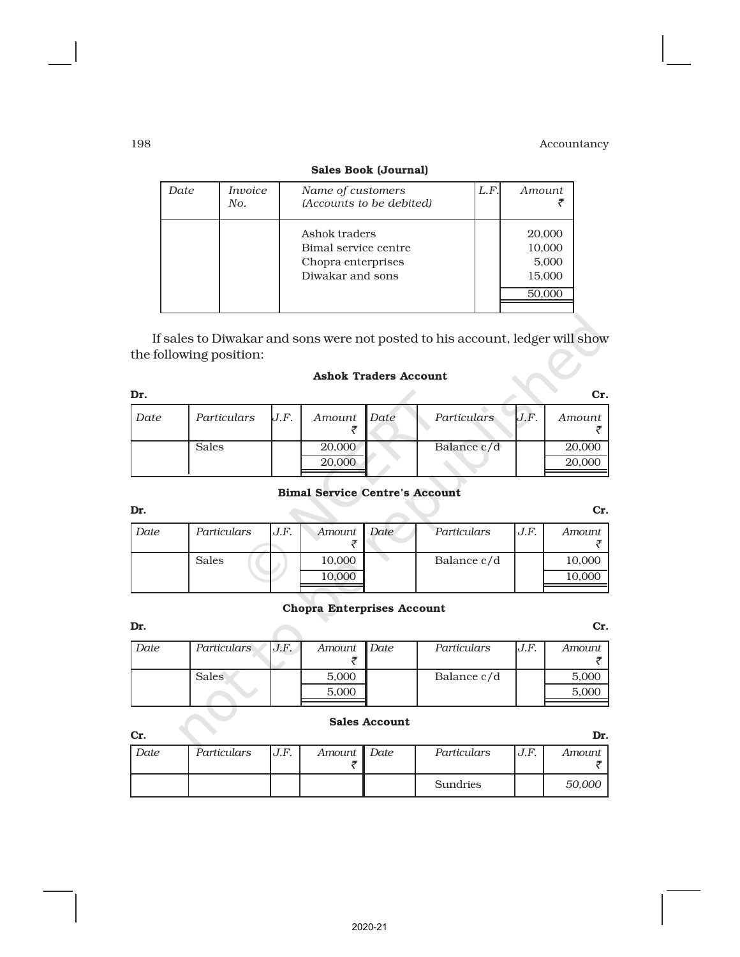### Sales Book (Journal)

| Date | Invoice<br>No. | Name of customers<br>(Accounts to be debited)                                   | L.F.I | Amount                                        |
|------|----------------|---------------------------------------------------------------------------------|-------|-----------------------------------------------|
|      |                | Ashok traders<br>Bimal service centre<br>Chopra enterprises<br>Diwakar and sons |       | 20,000<br>10,000<br>5,000<br>15,000<br>50,000 |

If sales to Diwakar and sons were not posted to his account, ledger will show the following position:

## Ashok Traders Account

| Dr.  |              |      |             |             |      | Cr.    |
|------|--------------|------|-------------|-------------|------|--------|
| Date | Particulars  | J.F. | Amount Date | Particulars | J.F. | Amount |
|      | <b>Sales</b> |      | 20,000      | Balance c/d |      | 20,000 |
|      |              |      | 20,000      |             |      | 20,000 |
|      |              |      |             |             |      |        |

## Bimal Service Centre's Account

| Dr.  |              |      |             |             |      | Cr.    |
|------|--------------|------|-------------|-------------|------|--------|
| Date | Particulars  | J.F. | Amount Date | Particulars | J.F. | Amount |
|      | <b>Sales</b> |      | 10,000      | Balance c/d |      | 10,000 |
|      |              |      | 10,000      |             |      | 10,000 |
|      |              |      |             |             |      |        |

### Chopra Enterprises Account

| Dr.  |                    |      |        |      |             |      | Cr.    |
|------|--------------------|------|--------|------|-------------|------|--------|
| Date | <b>Particulars</b> | J.F. | Amount | Date | Particulars | J.F. | Amount |
|      |                    |      |        |      |             |      |        |
|      | <b>Sales</b>       |      | 5,000  |      | Balance c/d |      | 5,000  |
|      |                    |      | 5,000  |      |             |      | 5,000  |
|      |                    |      |        |      |             |      |        |

### Sales Account

| Cr.  |             |      |             |             |      | Dr.    |
|------|-------------|------|-------------|-------------|------|--------|
| Date | Particulars | J.F. | Amount Date | Particulars | J.F. | Amount |
|      |             |      |             | Sundries    |      | 50,000 |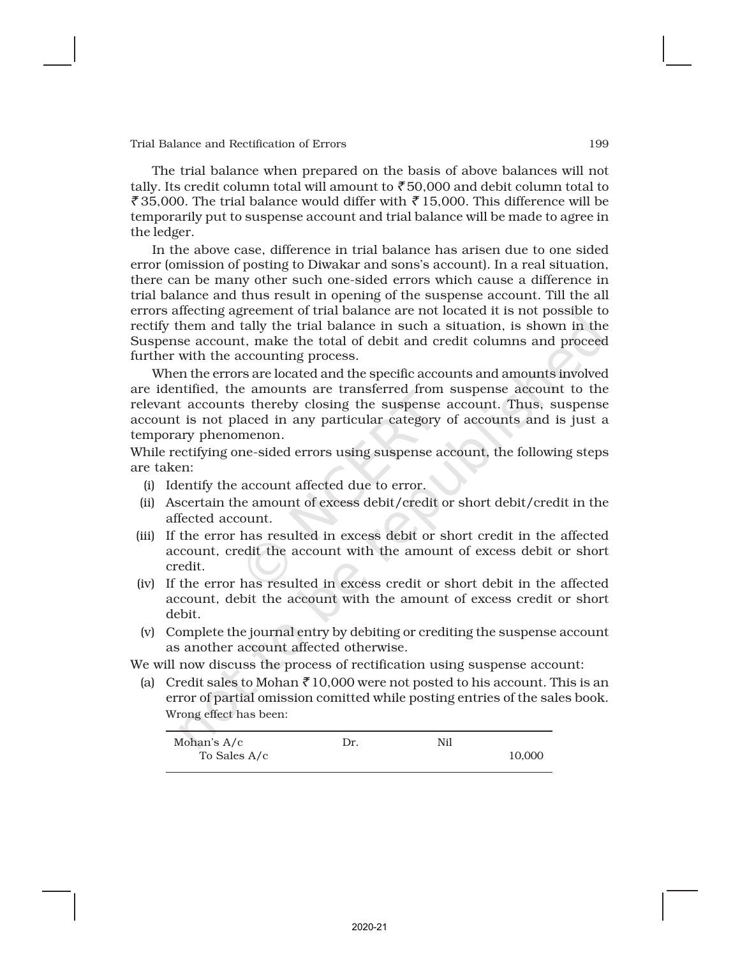The trial balance when prepared on the basis of above balances will not tally. Its credit column total will amount to  $\bar{\xi}$  50,000 and debit column total to ₹35,000. The trial balance would differ with ₹15,000. This difference will be temporarily put to suspense account and trial balance will be made to agree in the ledger.

In the above case, difference in trial balance has arisen due to one sided error (omission of posting to Diwakar and sons's account). In a real situation, there can be many other such one-sided errors which cause a difference in trial balance and thus result in opening of the suspense account. Till the all errors affecting agreement of trial balance are not located it is not possible to rectify them and tally the trial balance in such a situation, is shown in the Suspense account, make the total of debit and credit columns and proceed further with the accounting process.

When the errors are located and the specific accounts and amounts involved are identified, the amounts are transferred from suspense account to the relevant accounts thereby closing the suspense account. Thus, suspense account is not placed in any particular category of accounts and is just a temporary phenomenon*.*

While rectifying one-sided errors using suspense account, the following steps are taken:

- (i) Identify the account affected due to error.
- (ii) Ascertain the amount of excess debit/credit or short debit/credit in the affected account.
- (iii) If the error has resulted in excess debit or short credit in the affected account, credit the account with the amount of excess debit or short credit.
- (iv) If the error has resulted in excess credit or short debit in the affected account, debit the account with the amount of excess credit or short debit.
- (v) Complete the journal entry by debiting or crediting the suspense account as another account affected otherwise.

We will now discuss the process of rectification using suspense account:

(a) Credit sales to Mohan  $\bar{\tau}$  10,000 were not posted to his account. This is an error of partial omission comitted while posting entries of the sales book. Wrong effect has been:

| Mohan's A/c  | Dr. | Nil |        |
|--------------|-----|-----|--------|
| To Sales A/c |     |     | 10,000 |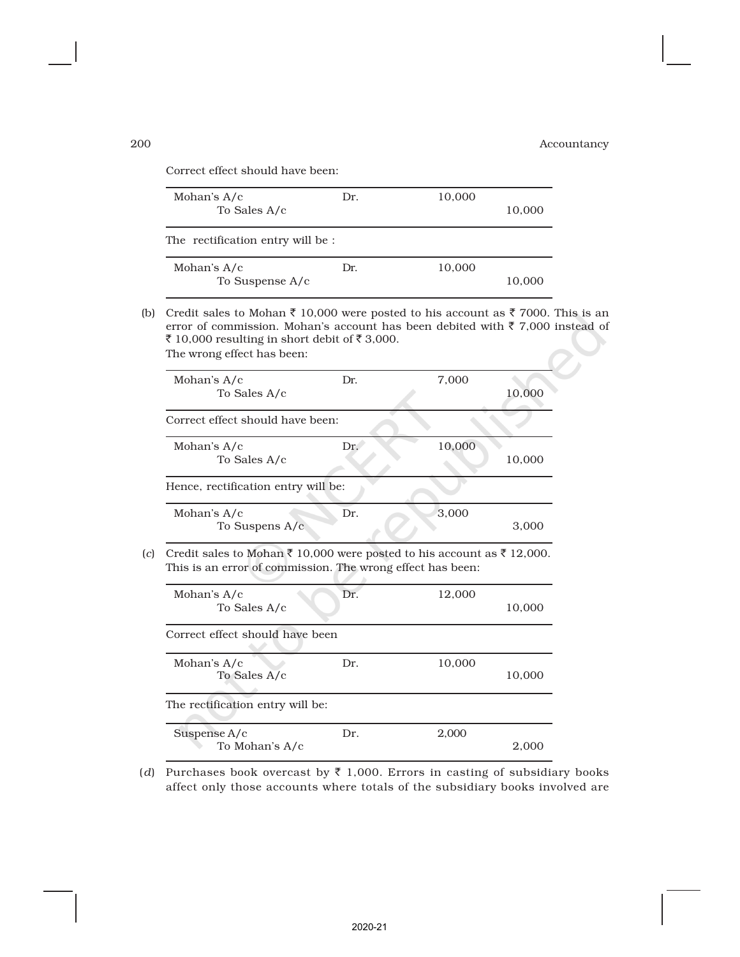| Correct effect should have been:                                                                                                                                                                                                                                                 |     |        |        |
|----------------------------------------------------------------------------------------------------------------------------------------------------------------------------------------------------------------------------------------------------------------------------------|-----|--------|--------|
| Mohan's A/c<br>To Sales A/c                                                                                                                                                                                                                                                      | Dr. | 10,000 | 10,000 |
| The rectification entry will be :                                                                                                                                                                                                                                                |     |        |        |
| Mohan's A/c<br>To Suspense A/c                                                                                                                                                                                                                                                   | Dr. | 10,000 | 10,000 |
| Credit sales to Mohan $\bar{\tau}$ 10,000 were posted to his account as $\bar{\tau}$ 7000. This is an<br>error of commission. Mohan's account has been debited with $\bar{\tau}$ 7,000 instead of<br>₹ 10,000 resulting in short debit of ₹ 3,000.<br>The wrong effect has been: |     |        |        |
| Mohan's A/c<br>To Sales A/c                                                                                                                                                                                                                                                      | Dr. | 7,000  | 10,000 |
| Correct effect should have been:                                                                                                                                                                                                                                                 |     |        |        |
| Mohan's A/c<br>To Sales A/c                                                                                                                                                                                                                                                      | Dr. | 10,000 | 10,000 |
| Hence, rectification entry will be:                                                                                                                                                                                                                                              |     |        |        |
| Mohan's A/c<br>To Suspens A/c                                                                                                                                                                                                                                                    | Dr. | 3,000  | 3,000  |
| Credit sales to Mohan ₹ 10,000 were posted to his account as ₹ 12,000.<br>This is an error of commission. The wrong effect has been:                                                                                                                                             |     |        |        |
| Mohan's A/c<br>To Sales A/c                                                                                                                                                                                                                                                      | Dr. | 12,000 | 10,000 |
| Correct effect should have been                                                                                                                                                                                                                                                  |     |        |        |
| Mohan's A/c<br>To Sales A/c                                                                                                                                                                                                                                                      | Dr. | 10,000 | 10,000 |
| The rectification entry will be:                                                                                                                                                                                                                                                 |     |        |        |
| Suspense A/c<br>To Mohan's A/c                                                                                                                                                                                                                                                   | Dr. | 2,000  | 2,000  |

(*d*) Purchases book overcast by  $\bar{z}$  1,000. Errors in casting of subsidiary books affect only those accounts where totals of the subsidiary books involved are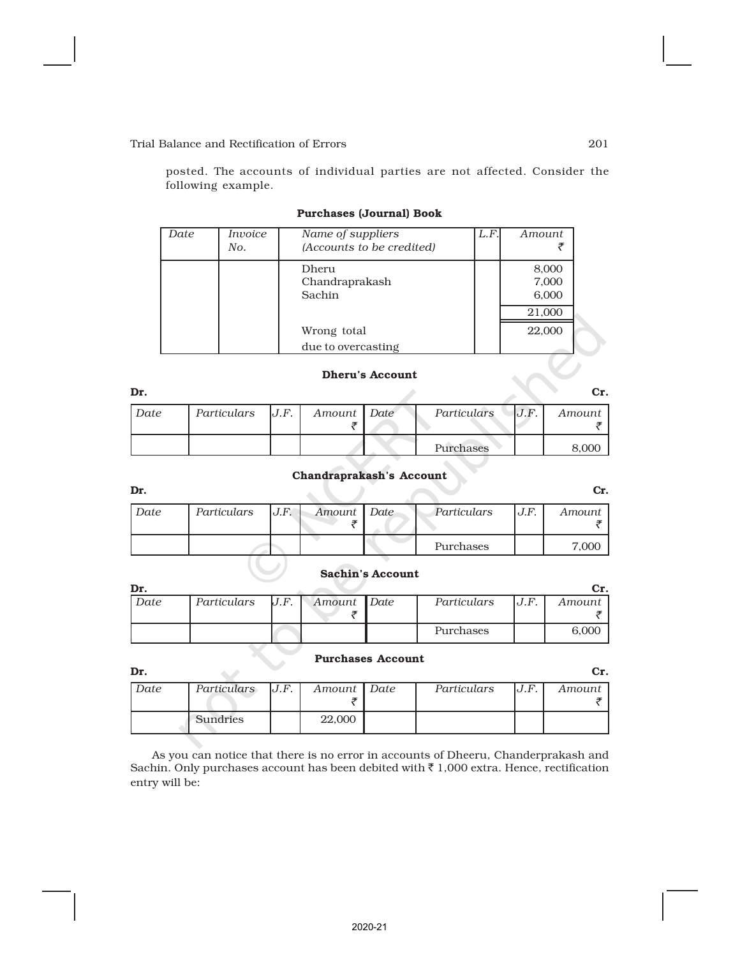posted. The accounts of individual parties are not affected. Consider the following example.

| Date | Invoice<br>No. | Name of suppliers<br>(Accounts to be credited) | L.F. | Amount                  |
|------|----------------|------------------------------------------------|------|-------------------------|
|      |                | Dheru<br>Chandraprakash<br>Sachin              |      | 8,000<br>7,000<br>6,000 |
|      |                |                                                |      | 21,000                  |
|      |                | Wrong total                                    |      | 22,000                  |
|      |                | due to overcasting                             |      |                         |

## Purchases (Journal) Book

### Dheru's Account

Dr. Cr. *Date Particulars J.F. Amount Date Particulars J.F. Amount*  $\mathcal{F}$  is the set of  $\mathcal{F}$  is the set of  $\mathcal{F}$ Purchases | 8,000

### Chandraprakash's Account

| Dr.  |             |      |             |             |      | Cr.    |
|------|-------------|------|-------------|-------------|------|--------|
| Date | Particulars | J.F. | Amount Date | Particulars | J.F. | Amount |
|      |             |      |             | Purchases   |      | 7,000  |

### Sachin's Account

| Date | Particulars | J.F. | Amount Date | Particulars | J.F | Amount |
|------|-------------|------|-------------|-------------|-----|--------|
|      |             |      |             | Purchases   |     | 6.000  |

### Purchases Account

| Dr.  |                  |               |             |      |        |
|------|------------------|---------------|-------------|------|--------|
| Date | Particulars J.F. | Amount   Date | Particulars | J.F. | Amount |
|      | Sundries         | 22,000        |             |      |        |

As you can notice that there is no error in accounts of Dheeru, Chanderprakash and Sachin. Only purchases account has been debited with  $\bar{\tau}$  1,000 extra. Hence, rectification entry will be: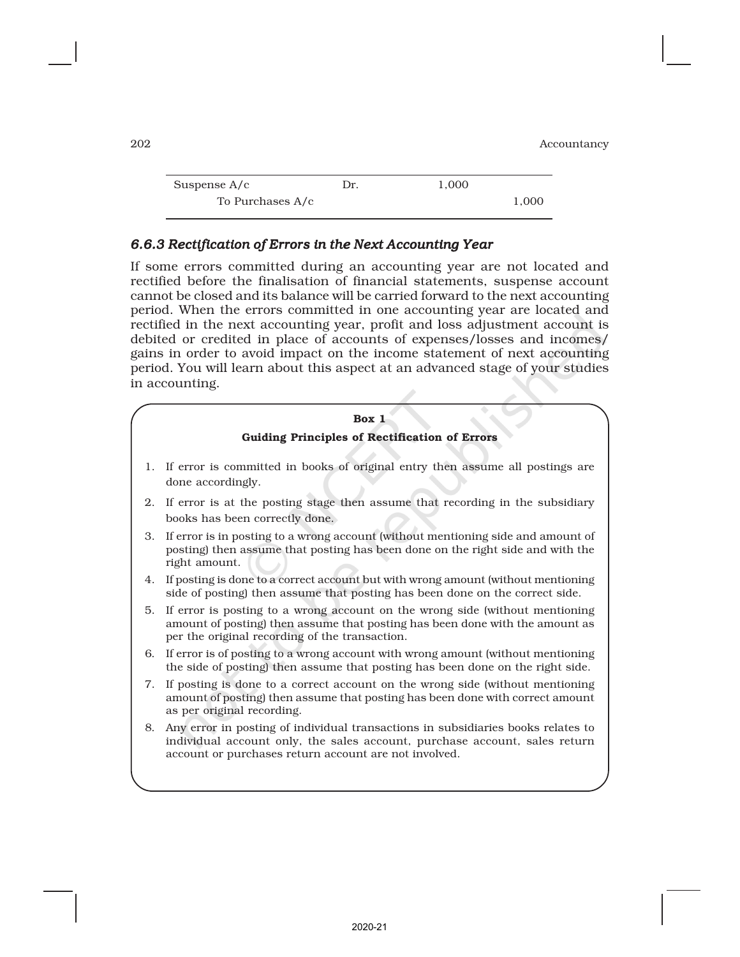Suspense  $A/c$  Dr.  $1,000$ To Purchases  $A/c$  1,000

## *6.6.3 Rectification of Errors in the Next Accounting Year*

If some errors committed during an accounting year are not located and rectified before the finalisation of financial statements, suspense account cannot be closed and its balance will be carried forward to the next accounting period. When the errors committed in one accounting year are located and rectified in the next accounting year, profit and loss adjustment account is debited or credited in place of accounts of expenses/losses and incomes/ gains in order to avoid impact on the income statement of next accounting period. You will learn about this aspect at an advanced stage of your studies in accounting.

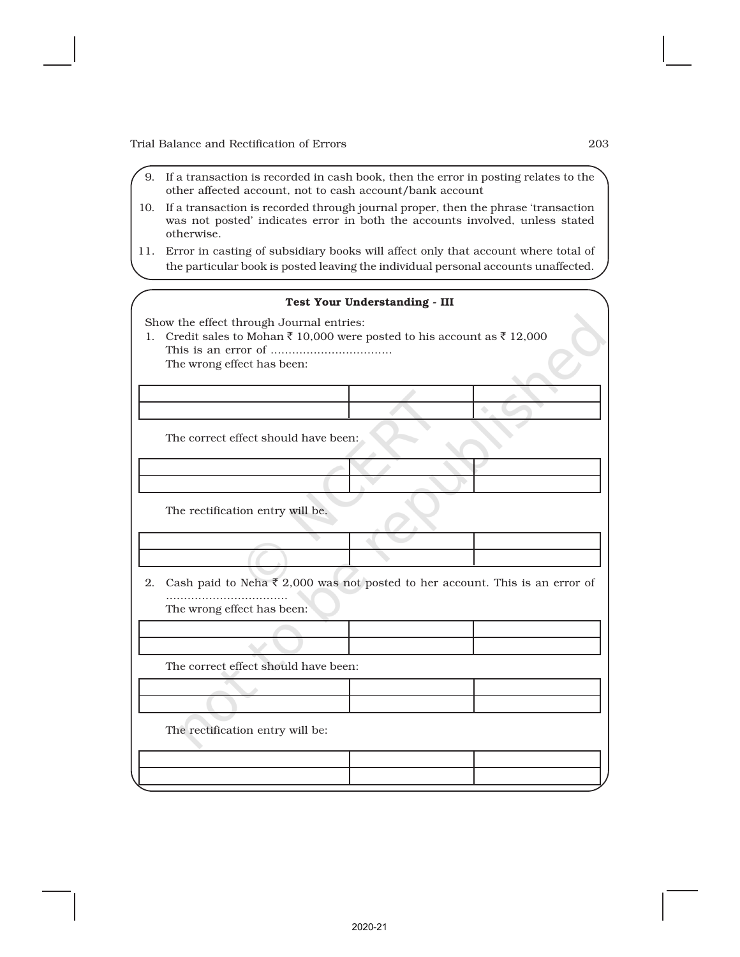| 9.  | If a transaction is recorded in cash book, then the error in posting relates to the<br>other affected account, not to cash account/bank account                                 |
|-----|---------------------------------------------------------------------------------------------------------------------------------------------------------------------------------|
| 10. | If a transaction is recorded through journal proper, then the phrase 'transaction<br>was not posted' indicates error in both the accounts involved, unless stated<br>otherwise. |
| 11. | Error in casting of subsidiary books will affect only that account where total of<br>the particular book is posted leaving the individual personal accounts unaffected.         |
|     | <b>Test Your Understanding - III</b>                                                                                                                                            |
|     | Show the effect through Journal entries:                                                                                                                                        |
| 1.  | Credit sales to Mohan $\bar{\tau}$ 10,000 were posted to his account as $\bar{\tau}$ 12,000                                                                                     |
|     |                                                                                                                                                                                 |
|     | The wrong effect has been:                                                                                                                                                      |
|     |                                                                                                                                                                                 |
|     |                                                                                                                                                                                 |
|     | The correct effect should have been:                                                                                                                                            |
|     |                                                                                                                                                                                 |
|     |                                                                                                                                                                                 |
|     | The rectification entry will be.                                                                                                                                                |
|     |                                                                                                                                                                                 |
|     |                                                                                                                                                                                 |
| 2.  | Cash paid to Neha $\bar{\tau}$ 2,000 was not posted to her account. This is an error of                                                                                         |
|     | The wrong effect has been:                                                                                                                                                      |
|     |                                                                                                                                                                                 |
|     |                                                                                                                                                                                 |
|     | The correct effect should have been:                                                                                                                                            |
|     |                                                                                                                                                                                 |
|     |                                                                                                                                                                                 |
|     | The rectification entry will be:                                                                                                                                                |
|     |                                                                                                                                                                                 |
|     |                                                                                                                                                                                 |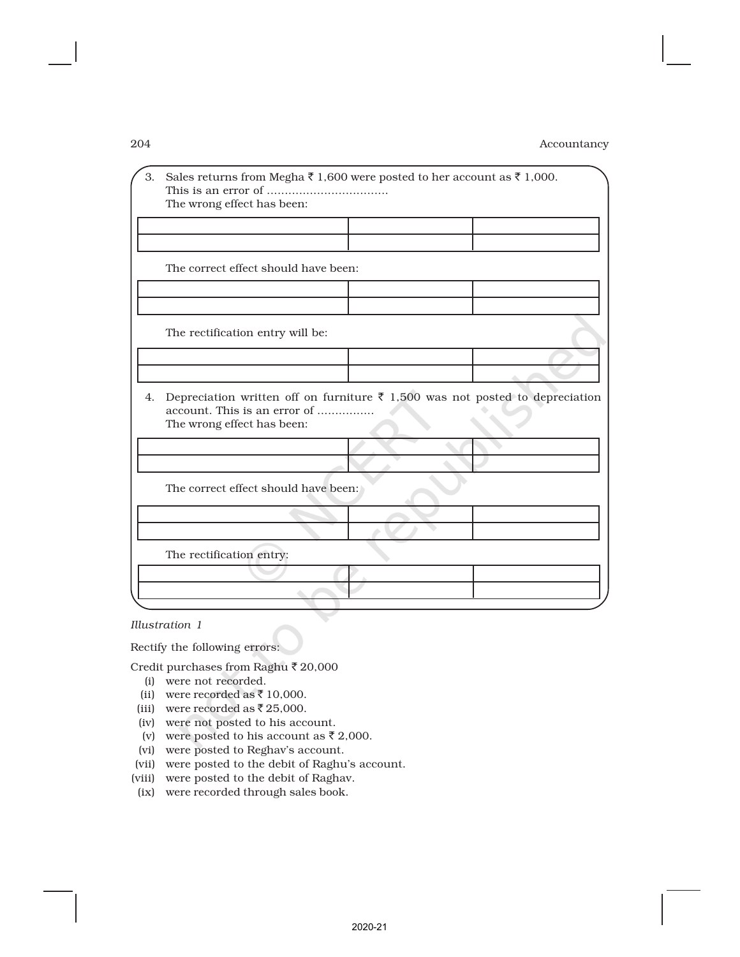| 3. | Sales returns from Megha ₹ 1,600 were posted to her account as ₹ 1,000.<br>The wrong effect has been:                                                 |  |  |  |
|----|-------------------------------------------------------------------------------------------------------------------------------------------------------|--|--|--|
|    |                                                                                                                                                       |  |  |  |
|    |                                                                                                                                                       |  |  |  |
|    | The correct effect should have been:                                                                                                                  |  |  |  |
|    |                                                                                                                                                       |  |  |  |
|    |                                                                                                                                                       |  |  |  |
|    | The rectification entry will be:                                                                                                                      |  |  |  |
|    |                                                                                                                                                       |  |  |  |
|    |                                                                                                                                                       |  |  |  |
| 4. | Depreciation written off on furniture $\bar{\tau}$ 1,500 was not posted to depreciation<br>account. This is an error of<br>The wrong effect has been: |  |  |  |
|    |                                                                                                                                                       |  |  |  |
|    |                                                                                                                                                       |  |  |  |
|    | The correct effect should have been:                                                                                                                  |  |  |  |
|    |                                                                                                                                                       |  |  |  |
|    |                                                                                                                                                       |  |  |  |
|    | The rectification entry:                                                                                                                              |  |  |  |
|    |                                                                                                                                                       |  |  |  |
|    |                                                                                                                                                       |  |  |  |

## *Illustration 1*

Rectify the following errors:

Credit purchases from Raghu  $\overline{\mathfrak{c}}$  20,000

- (i) were not recorded.
- (ii) were recorded as  $\bar{x}$  10,000.
- (iii) were recorded as  $\overline{\xi}$  25,000.
- (iv) were not posted to his account.
- (v) were posted to his account as  $\bar{\tau}$  2,000.
- (vi) were posted to Reghav's account.
- (vii) were posted to the debit of Raghu's account.
- (viii) were posted to the debit of Raghav.
- (ix) were recorded through sales book.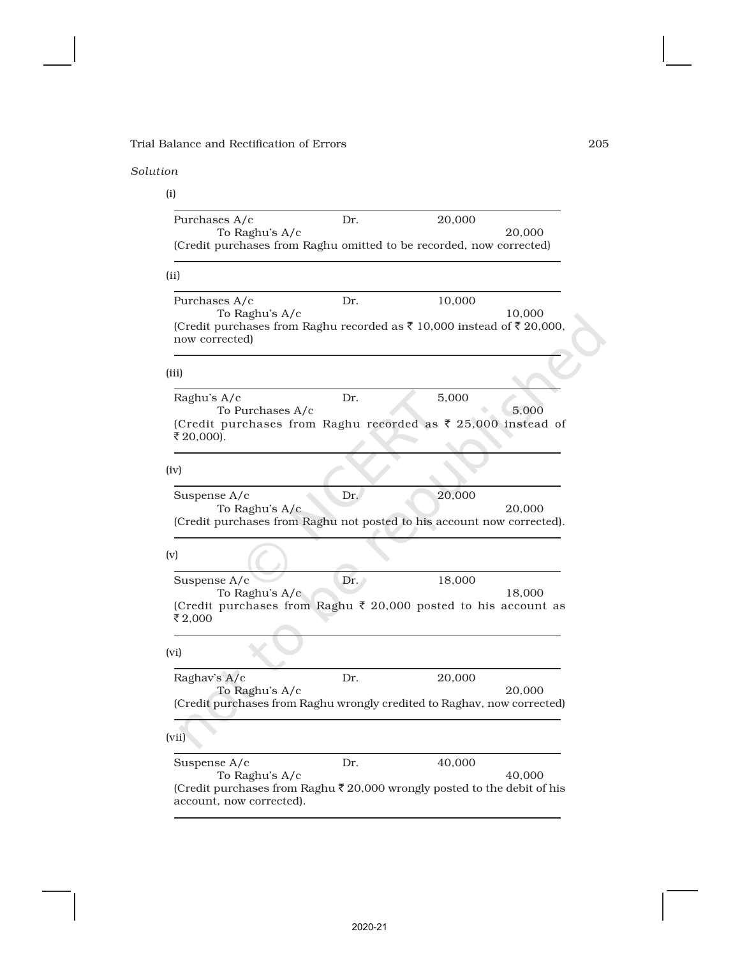*Solution*

## (i)

| Purchases A/c                                                       | Dr. | 20,000 |        |
|---------------------------------------------------------------------|-----|--------|--------|
| To Raghu's A/c                                                      |     |        | 20.000 |
| (Credit purchases from Raghu omitted to be recorded, now corrected) |     |        |        |

## (ii)

| Purchases A/c                                                                            | Dr. | 10.000 |        |
|------------------------------------------------------------------------------------------|-----|--------|--------|
| To Raghu's A/c                                                                           |     |        | 10.000 |
| (Credit purchases from Raghu recorded as ₹ 10,000 instead of ₹ 20,000,<br>now corrected) |     |        |        |
|                                                                                          |     |        |        |

## (iii)

| Raghu's A/c                                                                | Dr. |  | 5.000 |       |  |
|----------------------------------------------------------------------------|-----|--|-------|-------|--|
| To Purchases A/c                                                           |     |  |       | 5.000 |  |
| (Credit purchases from Raghu recorded as ₹ 25,000 instead of<br>₹ 20.000). |     |  |       |       |  |

### (iv)

| Suspense A/c                                                           | Dr. | 20,000 |        |
|------------------------------------------------------------------------|-----|--------|--------|
| To Raghu's A/c                                                         |     |        | 20.000 |
| (Credit purchases from Raghu not posted to his account now corrected). |     |        |        |

## (v)

| Suspense A/c   | Dr. | 18.000                                                                    |  |
|----------------|-----|---------------------------------------------------------------------------|--|
| To Raghu's A/c |     | 18.000                                                                    |  |
|                |     | (Credit purchases from Raghu $\bar{\tau}$ 20,000 posted to his account as |  |
| ₹2.000         |     |                                                                           |  |

## (vi)

| Raghay's A/c                                                            | Dr. | 20,000 |        |
|-------------------------------------------------------------------------|-----|--------|--------|
| To Raghu's A/c                                                          |     |        | 20,000 |
| (Credit purchases from Raghu wrongly credited to Raghav, now corrected) |     |        |        |
|                                                                         |     |        |        |
| (vii)                                                                   |     |        |        |
| Suspense A/c                                                            | Dr. | 40,000 |        |
| To Raghu's A/c                                                          |     |        | 40,000 |

(Credit purchases from Raghu  $\bar{\tau}$  20,000 wrongly posted to the debit of his account, now corrected).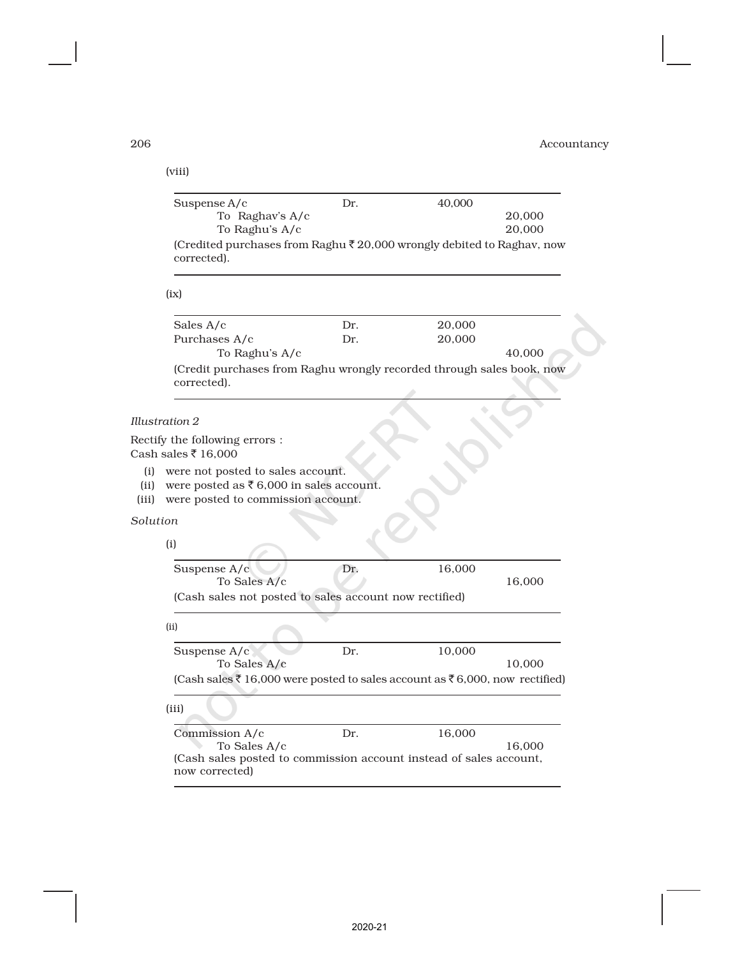(viii) Suspense A/c Dr. 40,000 To Raghav's A/c 20,000 To Raghu's  $A/c$  20,000 (Credited purchases from Raghu  $\bar{\tau}$  20,000 wrongly debited to Raghav, now corrected). (ix) Sales A/c Dr. 20,000 Purchases A/c Dr. 20,000 To Raghu's  $A/c$  40,000 (Credit purchases from Raghu wrongly recorded through sales book, now corrected). *Illustration 2* Rectify the following errors : Cash sales  $\bar{z}$  16,000 (i) were not posted to sales account. (ii) were posted as  $\bar{c}$  6,000 in sales account. (iii) were posted to commission account. *Solution* (i) Suspense A/c Dr. 16,000 To Sales A/c 16,000 (Cash sales not posted to sales account now rectified) (ii) Suspense A/c Dr. 10,000 To Sales  $A/c$  10,000 (Cash sales  $\bar{\tau}$  16,000 were posted to sales account as  $\bar{\tau}$  6,000, now rectified) (iii) Commission A/c Dr. 16,000  $To Sales A/c$  16,000 (Cash sales posted to commission account instead of sales account, now corrected)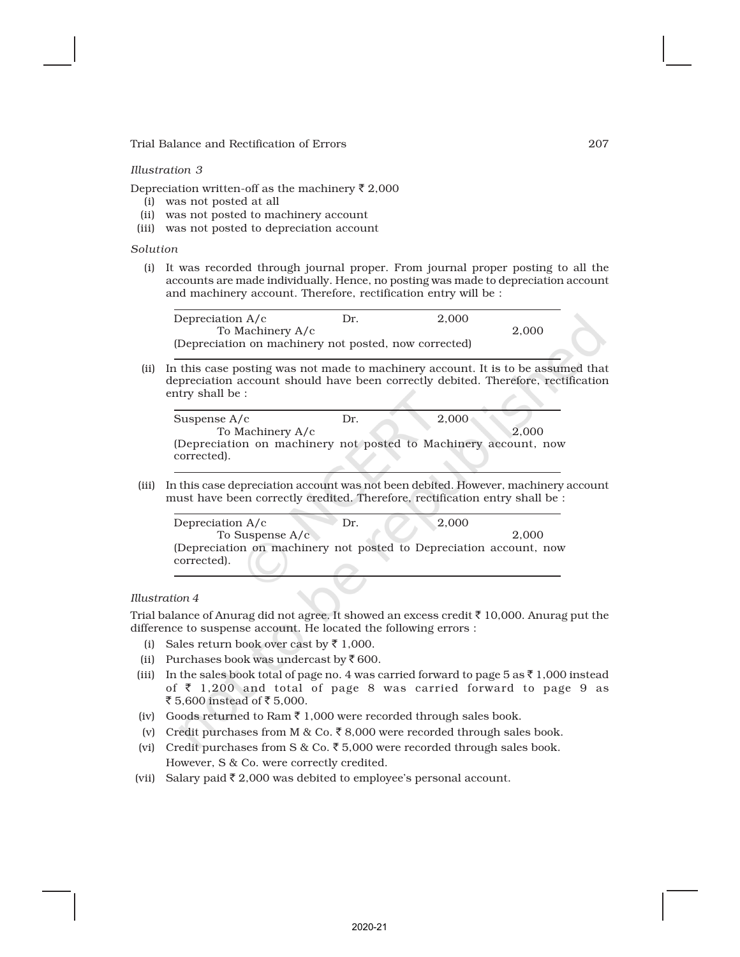### *Illustration 3*

Depreciation written-off as the machinery  $\bar{\tau}$  2,000

- (i) was not posted at all
- (ii) was not posted to machinery account
- (iii) was not posted to depreciation account

### *Solution*

(i) It was recorded through journal proper. From journal proper posting to all the accounts are made individually. Hence, no posting was made to depreciation account and machinery account. Therefore, rectification entry will be :

Depreciation A/c Dr. 2,000 To Machinery A/c 2,000 (Depreciation on machinery not posted, now corrected)

(ii) In this case posting was not made to machinery account. It is to be assumed that depreciation account should have been correctly debited. Therefore, rectification entry shall be :

| Suspense A/c                                                                   | Dr. | 2.000 |       |
|--------------------------------------------------------------------------------|-----|-------|-------|
| To Machinery A/c                                                               |     |       | 2.000 |
| (Depreciation on machinery not posted to Machinery account, now<br>corrected). |     |       |       |

(iii) In this case depreciation account was not been debited. However, machinery account must have been correctly credited. Therefore, rectification entry shall be :

| Depreciation A/c |                 | Dr. | 2.000                                                              |       |
|------------------|-----------------|-----|--------------------------------------------------------------------|-------|
|                  | To Suspense A/c |     |                                                                    | 2.000 |
|                  |                 |     | (Depreciation on machinery not posted to Depreciation account, now |       |
| corrected).      |                 |     |                                                                    |       |

### *Illustration 4*

Trial balance of Anurag did not agree. It showed an excess credit  $\bar{\tau}$  10,000. Anurag put the difference to suspense account. He located the following errors :

- (i) Sales return book over cast by  $\bar{z}$  1,000.
- (ii) Purchases book was undercast by  $\bar{z}$  600.
- (iii) In the sales book total of page no. 4 was carried forward to page 5 as  $\bar{\tau}$  1,000 instead of  $\bar{\tau}$  1,200 and total of page 8 was carried forward to page 9 as ₹ 5,600 instead of ₹ 5,000.
- (iv) Goods returned to Ram  $\bar{\tau}$  1,000 were recorded through sales book.
- (v) Credit purchases from M & Co.  $\bar{\tau}$  8,000 were recorded through sales book.
- (vi) Credit purchases from S & Co.  $\bar{\tau}$  5,000 were recorded through sales book. However, S & Co. were correctly credited.
- (vii) Salary paid  $\bar{\tau}$  2,000 was debited to employee's personal account.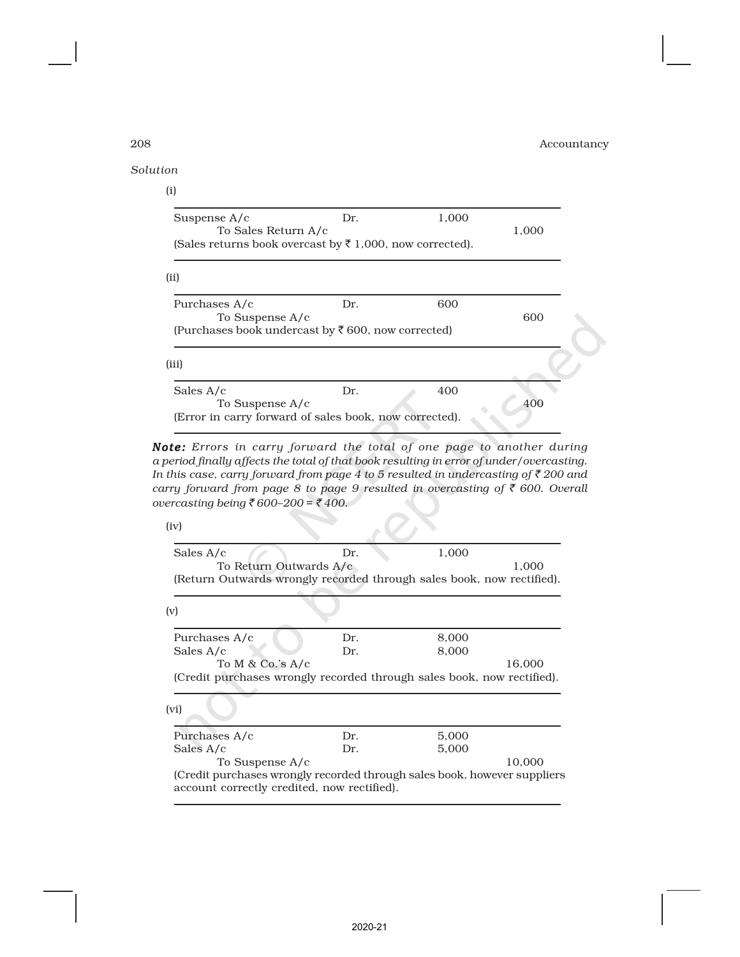208 Accountancy

*Solution*

| Suspense $A/c$<br>To Sales Return A/c                                            | Dr. | 1,000 | 1,000 |
|----------------------------------------------------------------------------------|-----|-------|-------|
| (Sales returns book overcast by $\overline{\xi}$ 1,000, now corrected).          |     |       |       |
| (ii)                                                                             |     |       |       |
| Purchases A/c                                                                    | Dr. | 600   |       |
| To Suspense A/c<br>(Purchases book undercast by $\bar{\tau}$ 600, now corrected) |     |       | 600   |
| (iii)                                                                            |     |       |       |
| Sales A/c                                                                        | Dr. | 400   |       |
|                                                                                  |     |       |       |

*Note: Errors in carry forward the total of one page to another during a period finally affects the total of that book resulting in error of under/overcasting. In this case, carry forward from page 4 to 5 resulted in undercasting of*  $\bar{\mathfrak{c}}$  200 and *carry forward from page 8 to page 9 resulted in overcasting of* ` *600. Overall*  $overcasting being ₹600-200 = ₹400.$ 

| (iv)                                                                                                                    |     |       |        |
|-------------------------------------------------------------------------------------------------------------------------|-----|-------|--------|
| Sales A/c<br>To Return Outwards A/c<br>(Return Outwards wrongly recorded through sales book, now rectified).            | Dr. | 1,000 | 1,000  |
| (v)                                                                                                                     |     |       |        |
| Purchases A/c                                                                                                           | Dr. | 8,000 |        |
| Sales A/c                                                                                                               | Dr. | 8,000 |        |
| To M & Co.'s $A/c$                                                                                                      |     |       | 16,000 |
| (Credit purchases wrongly recorded through sales book, now rectified).<br>(vi)                                          |     |       |        |
| Purchases A/c                                                                                                           | Dr. | 5,000 |        |
| Sales A/c                                                                                                               | Dr. | 5,000 |        |
| To Suspense A/c                                                                                                         |     |       | 10,000 |
| (Credit purchases wrongly recorded through sales book, however suppliers<br>account correctly credited, now rectified). |     |       |        |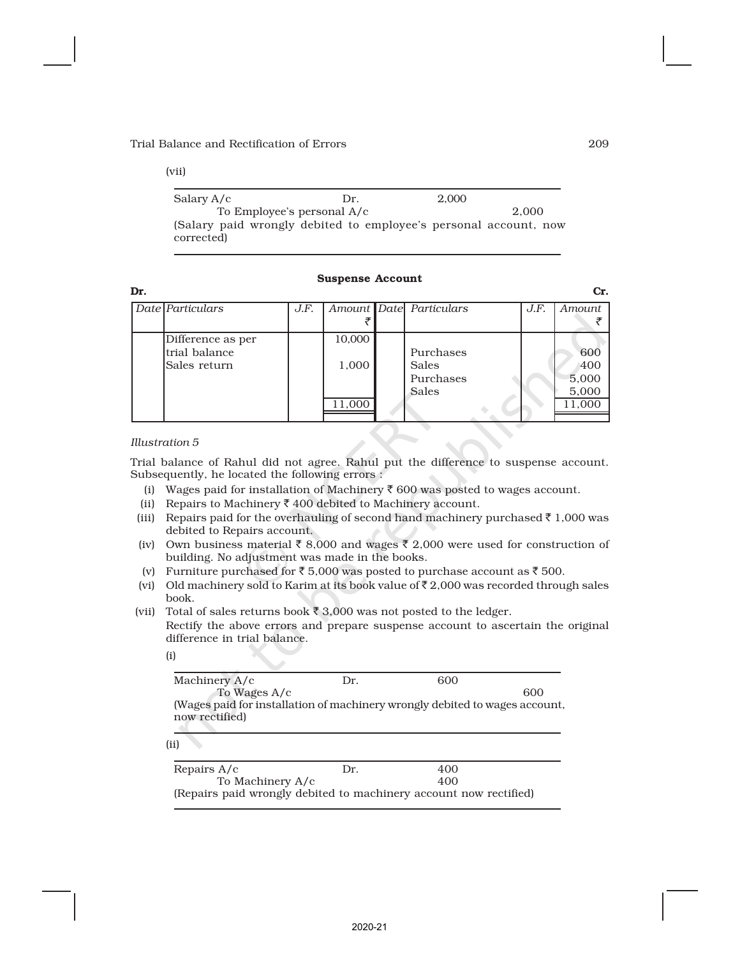(vii)

| Salary A/c                 | Dr.                                                              | 2.000 |       |
|----------------------------|------------------------------------------------------------------|-------|-------|
| To Employee's personal A/c |                                                                  |       | 2.000 |
|                            | (Salary paid wrongly debited to employee's personal account, now |       |       |
| corrected)                 |                                                                  |       |       |

### Suspense Account

**Dr.** Cr. *Date Particulars J.F. Amount Date Particulars J.F. Amount*  $\bar{z}$  , and the set of  $\bar{z}$ Difference as per 10,000 trial balance  $\begin{array}{|c|c|c|c|c|c|}\n\hline\n\text{Sales} & & & 0.000 & \text{Sales} & & & 0.000 & \text{Sales} & & & 0.000 & \text{Sales} & & & 0.000 & \text{Sales} & & & 0.000 & \text{Sales} & & & 0.000 & \text{Sales} & & & & 0.000 & \text{Sales} & & & & 0.000 & \text{Sales} & & & & 0.000 & \text{Sales} & & & & 0.000 & \text{Sales} & & & & 0.000 & \text$ Sales return 1,000 Sales 400<br>Purchases 5,000 5.000 Purchases Sales 5,000 11,000 11,000

### *Illustration 5*

Trial balance of Rahul did not agree. Rahul put the difference to suspense account. Subsequently, he located the following errors :

- (i) Wages paid for installation of Machinery  $\bar{\tau}$  600 was posted to wages account.
- (ii) Repairs to Machinery  $\bar{\tau}$  400 debited to Machinery account.
- (iii) Repairs paid for the overhauling of second hand machinery purchased  $\bar{\tau}$  1,000 was debited to Repairs account.
- (iv) Own business material  $\bar{\tau}$  8,000 and wages  $\bar{\tau}$  2,000 were used for construction of building. No adjustment was made in the books.
- (v) Furniture purchased for  $\overline{\xi}$  5,000 was posted to purchase account as  $\overline{\xi}$  500.
- (vi) Old machinery sold to Karim at its book value of  $\bar{\tau}$  2,000 was recorded through sales book.
- (vii) Total of sales returns book  $\bar{\tau}$  3,000 was not posted to the ledger. Rectify the above errors and prepare suspense account to ascertain the original difference in trial balance.

(i)

| Machinery A/c                                                                                 | Dr. | 600 |     |
|-----------------------------------------------------------------------------------------------|-----|-----|-----|
| To Wages A/c                                                                                  |     |     | 600 |
| (Wages paid for installation of machinery wrongly debited to wages account,<br>now rectified) |     |     |     |

(ii)

| Repairs A/c      | Dr. | 400                                                               |
|------------------|-----|-------------------------------------------------------------------|
| To Machinery A/c |     | 400                                                               |
|                  |     | (Repairs paid wrongly debited to machinery account now rectified) |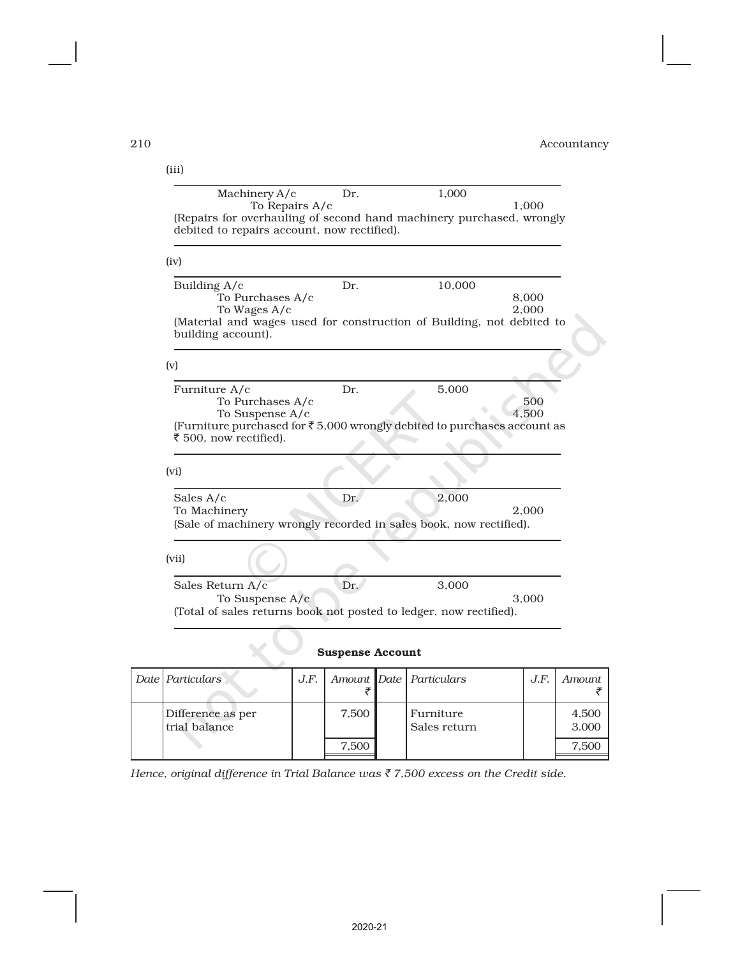| Machinery A/c<br>To Repairs A/c<br>(Repairs for overhauling of second hand machinery purchased, wrongly<br>debited to repairs account, now rectified).                | Dr.                     | 1,000  | 1.000          |
|-----------------------------------------------------------------------------------------------------------------------------------------------------------------------|-------------------------|--------|----------------|
| (iv)                                                                                                                                                                  |                         |        |                |
| Building A/c<br>To Purchases A/c<br>To Wages A/c<br>(Material and wages used for construction of Building, not debited to<br>building account).                       | Dr.                     | 10,000 | 8,000<br>2,000 |
| (v)                                                                                                                                                                   |                         |        |                |
| Furniture A/c<br>To Purchases A/c<br>To Suspense A/c<br>(Furniture purchased for $\bar{\tau}$ 5,000 wrongly debited to purchases account as<br>₹ 500, now rectified). | Dr.                     | 5,000  | 500<br>4,500   |
| (vi)                                                                                                                                                                  |                         |        |                |
| Sales A/c<br>To Machinery<br>(Sale of machinery wrongly recorded in sales book, now rectified).                                                                       | Dr.                     | 2,000  | 2.000          |
| (vii)                                                                                                                                                                 |                         |        |                |
| Sales Return A/c<br>To Suspense A/c<br>(Total of sales returns book not posted to ledger, now rectified).                                                             | Dr.                     | 3,000  | 3,000          |
|                                                                                                                                                                       | <b>Suspense Account</b> |        |                |

| Date   Particulars                 | J.F. |       | Amount Date   Particulars | J.F. | Amount         |
|------------------------------------|------|-------|---------------------------|------|----------------|
| Difference as per<br>trial balance |      | 7.500 | Furniture<br>Sales return |      | 4,500<br>3.000 |
|                                    |      | 7,500 |                           |      | 7,500          |
|                                    |      |       |                           |      |                |

*Hence, original difference in Trial Balance was* ` *7,500 excess on the Credit side.*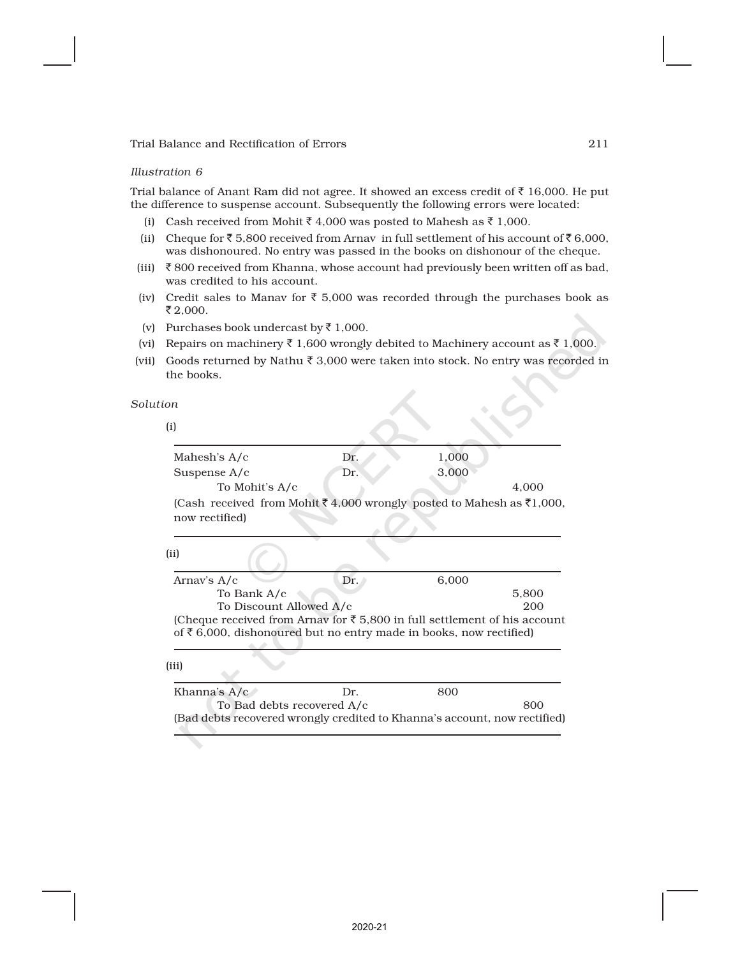### *Illustration 6*

Trial balance of Anant Ram did not agree. It showed an excess credit of  $\bar{\tau}$  16,000. He put the difference to suspense account. Subsequently the following errors were located:

- (i) Cash received from Mohit  $\bar{\tau}$  4,000 was posted to Mahesh as  $\bar{\tau}$  1,000.
- (ii) Cheque for  $\bar{\tau}$  5,800 received from Arnav in full settlement of his account of  $\bar{\tau}$  6,000, was dishonoured. No entry was passed in the books on dishonour of the cheque.
- (iii)  $\bar{\tau}$  800 received from Khanna, whose account had previously been written off as bad, was credited to his account.
- (iv) Credit sales to Manav for  $\bar{\tau}$  5,000 was recorded through the purchases book as  $\overline{5}$  2,000.
- (v) Purchases book undercast by  $\bar{z}$  1,000.
- (vi) Repairs on machinery  $\bar{\tau}$  1,600 wrongly debited to Machinery account as  $\bar{\tau}$  1,000.
- (vii) Goods returned by Nathu  $\bar{\tau}$  3,000 were taken into stock. No entry was recorded in the books.

*Solution*

## (i)

| Mahesh's A/c                | Dr. | 1.000 |       |
|-----------------------------|-----|-------|-------|
| Suspense A/c                | Dr. | 3.000 |       |
| To Mohit's A/c              |     |       | 4.000 |
| $\sim$ $\sim$ $\sim$ $\sim$ |     |       |       |

(Cash received from Mohit  $\bar{\tau}$  4,000 wrongly posted to Mahesh as  $\bar{\tau}$ 1,000, now rectified)

| (ii) |  |  |
|------|--|--|
|      |  |  |

| Arnav's A/c                                                               | Dr. | 6.000 |       |
|---------------------------------------------------------------------------|-----|-------|-------|
| To Bank A/c                                                               |     |       | 5.800 |
| To Discount Allowed A/c                                                   |     |       | 200   |
| (Cheque received from Arnay for ₹ 5,800 in full settlement of his account |     |       |       |

of  $\bar{\tau}$  6,000, dishonoured but no entry made in books, now rectified)

### (iii)

| Khanna's A/c                                                              | Dr. | 800 |     |
|---------------------------------------------------------------------------|-----|-----|-----|
| To Bad debts recovered A/c                                                |     |     | 800 |
| (Bad debts recovered wrongly credited to Khanna's account, now rectified) |     |     |     |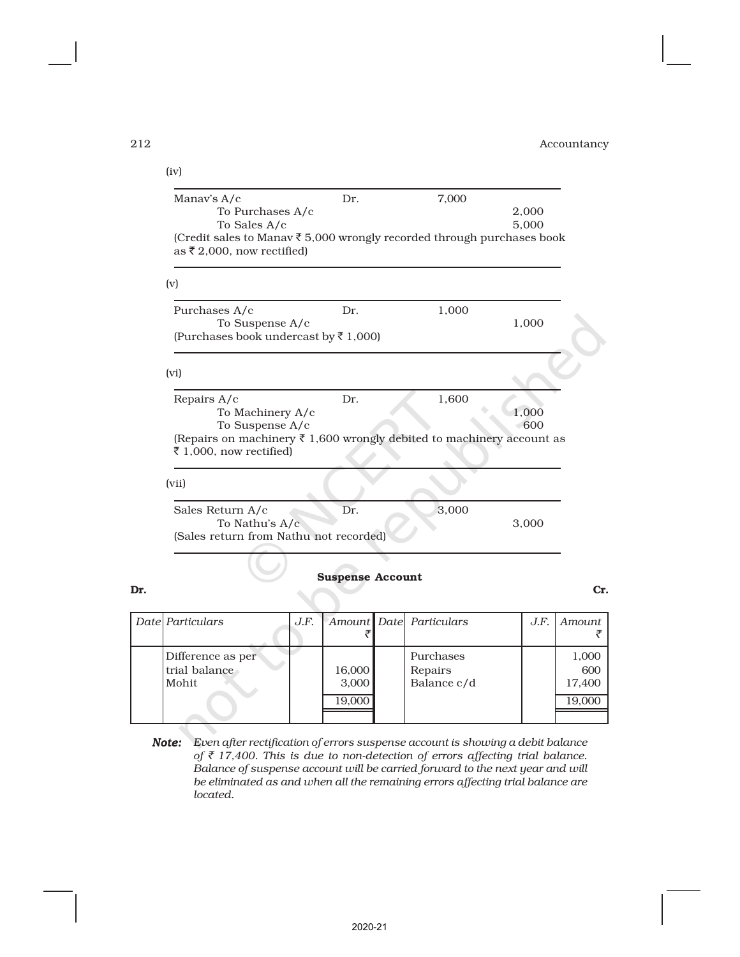# (iv) Manav's  $A/c$  Dr. 7,000 To Purchases  $A/c$  2,000 To Sales  $A/c$  5,000 (Credit sales to Manav  $\bar{\tau}$  5,000 wrongly recorded through purchases book as  $\bar{\tau}$  2,000, now rectified) (v) Purchases A/c Dr. 1,000 To Suspense  $A/c$  1,000 (Purchases book undercast by  $\bar{z}$  1,000) (vi) Repairs A/c Dr. 1,600 To Machinery  $A/c$  1,000<br>To Suspense  $A/c$  600 To Suspense  $A/c$ (Repairs on machinery  $\bar{\tau}$  1,600 wrongly debited to machinery account as ₹ 1,000, now rectified) (vii) Sales Return A/c Dr. 3,000 To Nathu's  $A/c$  3,000 (Sales return from Nathu not recorded)

Dr. Cr.

| Datel Particulars                           | J.F. |                           | Amount Date Particulars             | J.F. | Amount                           |
|---------------------------------------------|------|---------------------------|-------------------------------------|------|----------------------------------|
| Difference as per<br>trial balance<br>Mohit |      | 16,000<br>3,000<br>19,000 | Purchases<br>Repairs<br>Balance c/d |      | 1,000<br>600<br>17,400<br>19,000 |

Suspense Account

*Note: Even after rectification of errors suspense account is showing a debit balance of* ` *17,400. This is due to non-detection of errors affecting trial balance. Balance of suspense account will be carried forward to the next year and will be eliminated as and when all the remaining errors affecting trial balance are located.*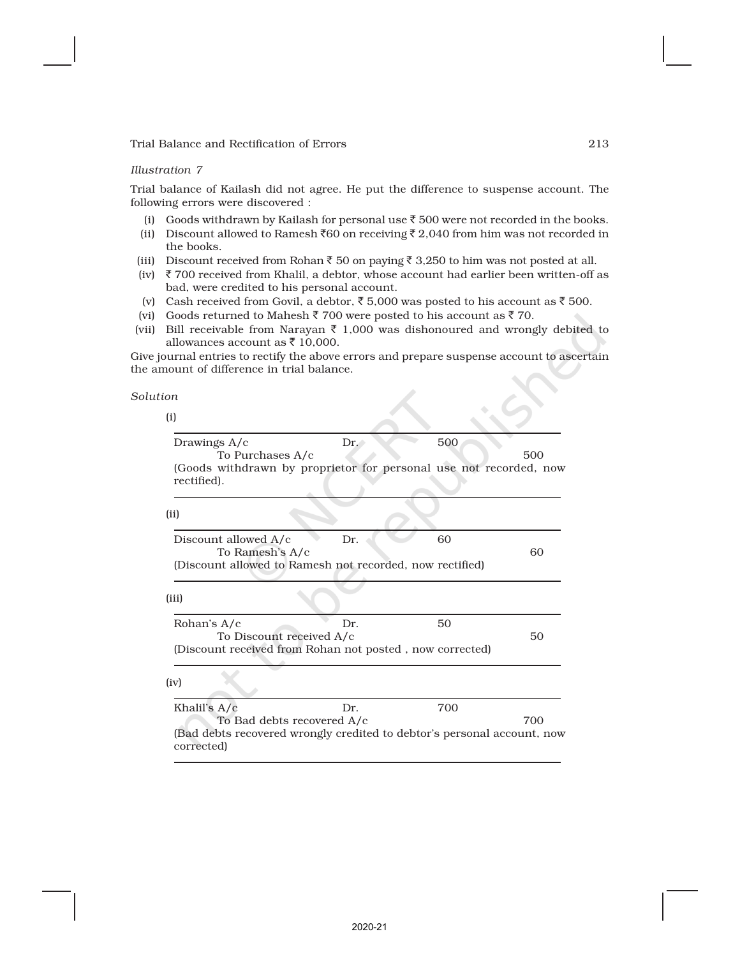### *Illustration 7*

Trial balance of Kailash did not agree. He put the difference to suspense account. The following errors were discovered :

- (i) Goods withdrawn by Kailash for personal use  $\bar{\tau}$  500 were not recorded in the books.
- (ii) Discount allowed to Ramesh  $\bar{e}$  60 on receiving  $\bar{e}$  2,040 from him was not recorded in the books.
- (iii) Discount received from Rohan  $\bar{\tau}$  50 on paying  $\bar{\tau}$  3,250 to him was not posted at all.
- (iv)  $\bar{\tau}$  700 received from Khalil, a debtor, whose account had earlier been written-off as bad, were credited to his personal account.
- (v) Cash received from Govil, a debtor,  $\bar{\xi}$  5,000 was posted to his account as  $\bar{\xi}$  500.
- (vi) Goods returned to Mahesh  $\bar{\tau}$  700 were posted to his account as  $\bar{\tau}$  70.
- (vii) Bill receivable from Narayan  $\bar{\tau}$  1,000 was dishonoured and wrongly debited to allowances account as  $\bar{z}$  10,000.

Give journal entries to rectify the above errors and prepare suspense account to ascertain the amount of difference in trial balance.

### *Solution*

# (i) Drawings A/c Dr. 500 To Purchases  $A/c$  500 (Goods withdrawn by proprietor for personal use not recorded, now rectified). (ii)

| Discount allowed A/c                                     | Dr. | 60 |    |
|----------------------------------------------------------|-----|----|----|
| To Ramesh's A/c                                          |     |    | 60 |
| (Discount allowed to Ramesh not recorded, now rectified) |     |    |    |

| (iii) |  |  |  |
|-------|--|--|--|
|       |  |  |  |

| Rohan's A/c                                              | 50 |    |
|----------------------------------------------------------|----|----|
| To Discount received A/c                                 |    | 50 |
| (Discount received from Rohan not posted, now corrected) |    |    |

### (iv)

| Khalil's $A/c$ | Dr.                                                                     | 700. |     |
|----------------|-------------------------------------------------------------------------|------|-----|
|                | To Bad debts recovered A/c                                              |      | 700 |
|                | (Bad debts recovered wrongly credited to debtor's personal account, now |      |     |

corrected)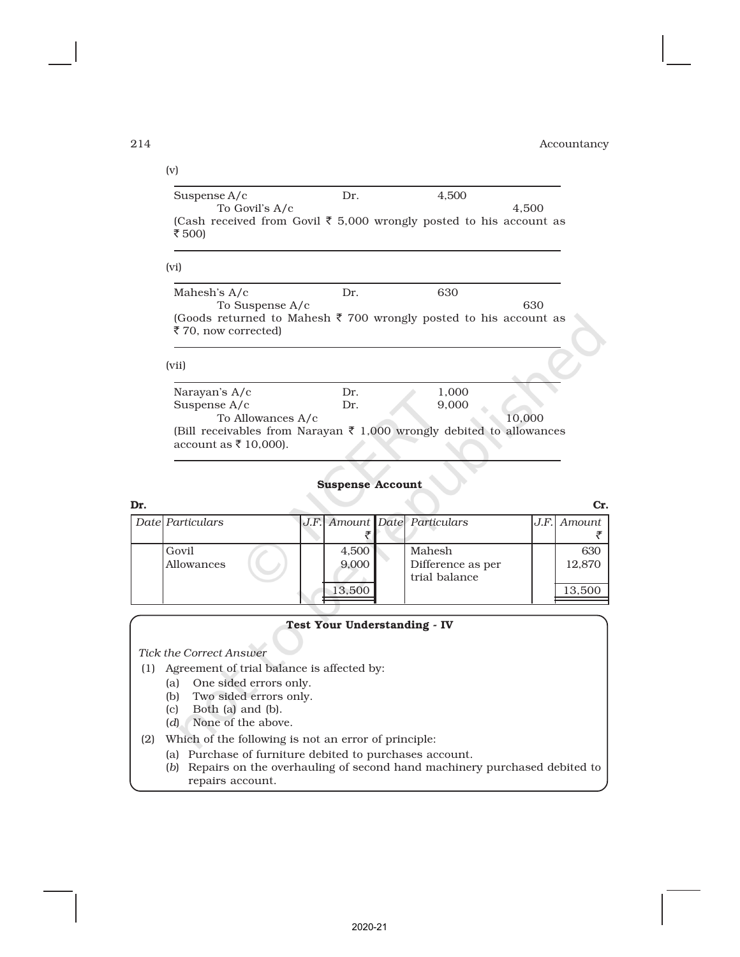### (v)

| Suspense A/c                                                       | Dr. | 4.500 |       |
|--------------------------------------------------------------------|-----|-------|-------|
| To Govil's A/c                                                     |     |       | 4.500 |
| (Cash received from Govil ₹ 5,000 wrongly posted to his account as |     |       |       |
| ₹ 500)                                                             |     |       |       |

### (vi)

| Mahesh's $A/c$                                                   | Dr. | 630 |     |  |
|------------------------------------------------------------------|-----|-----|-----|--|
| To Suspense A/c                                                  |     |     | 630 |  |
| (Goods returned to Mahesh ₹ 700 wrongly posted to his account as |     |     |     |  |
| $\bar{\tau}$ 70, now corrected)                                  |     |     |     |  |
|                                                                  |     |     |     |  |

## (vii)

| Narayan's A/c     | Dr.   | 1.000 |        |
|-------------------|-------|-------|--------|
| Suspense A/c      | Dr.   | 9.000 |        |
| To Allowances A/c |       |       | 10.000 |
| $ -$              | - - - |       |        |

(Bill receivables from Narayan  $\bar{\tau}$  1,000 wrongly debited to allowances account as  $\bar{x}$  10,000).

# Suspense Account

| Dr. |                   |  |        |                              | Cr.          |
|-----|-------------------|--|--------|------------------------------|--------------|
|     | Datel Particulars |  |        | J.F. Amount Date Particulars | J.F.I Amount |
|     |                   |  |        |                              |              |
|     | Govil             |  | 4,500  | Mahesh                       | 630          |
|     | Allowances        |  | 9,000  | Difference as per            | 12.870       |
|     |                   |  |        | trial balance                |              |
|     |                   |  | 13,500 |                              | 13,500       |
|     |                   |  |        |                              |              |

### Test Your Understanding - IV

*Tick the Correct Answer*

- (1) Agreement of trial balance is affected by:
	- (a) One sided errors only.
	- (b) Two sided errors only.
	- (c) Both (a) and (b).
	- (*d*) None of the above.
- (2) Which of the following is not an error of principle:
	- (a) Purchase of furniture debited to purchases account.
	- (*b*) Repairs on the overhauling of second hand machinery purchased debited to repairs account.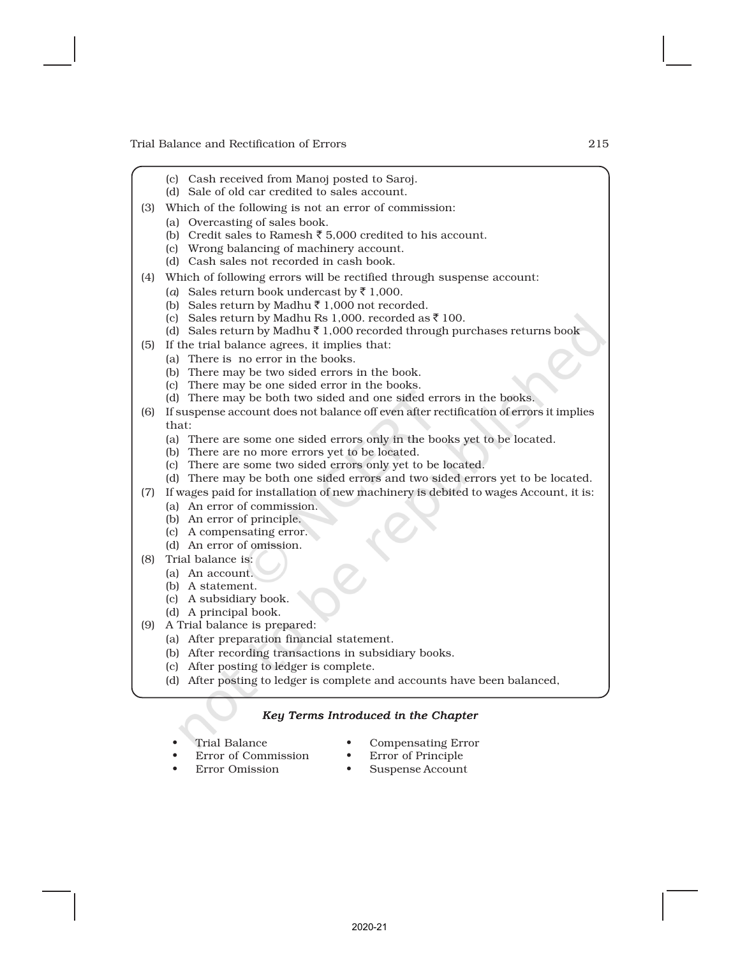- (c) Cash received from Manoj posted to Saroj.
- (d) Sale of old car credited to sales account.
- (3) Which of the following is not an error of commission:
	- (a) Overcasting of sales book.
	- (b) Credit sales to Ramesh  $\bar{\tau}$  5,000 credited to his account.
	- (c) Wrong balancing of machinery account.
	- (d) Cash sales not recorded in cash book.
- (4) Which of following errors will be rectified through suspense account:
	- (*a*) Sales return book undercast by  $\bar{z}$  1,000.
	- (b) Sales return by Madhu  $\bar{\tau}$  1,000 not recorded.
	- (c) Sales return by Madhu Rs 1,000. recorded as  $\bar{z}$  100.
	- (d) Sales return by Madhu  $\bar{\tau}$  1,000 recorded through purchases returns book
- (5) If the trial balance agrees, it implies that:
	- (a) There is no error in the books.
	- (b) There may be two sided errors in the book.
	- (c) There may be one sided error in the books.
	- (d) There may be both two sided and one sided errors in the books.
- (6) If suspense account does not balance off even after rectification of errors it implies that:
	- (a) There are some one sided errors only in the books yet to be located.
	- (b) There are no more errors yet to be located.
	- (c) There are some two sided errors only yet to be located.
	- (d) There may be both one sided errors and two sided errors yet to be located.
- (7) If wages paid for installation of new machinery is debited to wages Account, it is:
	- (a) An error of commission.
	- (b) An error of principle.
	- (c) A compensating error.
	- (d) An error of omission.
- (8) Trial balance is:
	- (a) An account.
	- (b) A statement.
	- (c) A subsidiary book.
	- (d) A principal book.
- (9) A Trial balance is prepared:
	- (a) After preparation financial statement.
	- (b) After recording transactions in subsidiary books.
	- (c) After posting to ledger is complete.
	- (d) After posting to ledger is complete and accounts have been balanced,

### *Key Terms Introduced in the Chapter*

- - Trial Balance Compensating Error
	- Error of Commission Error of Principle
	- Error Omission Suspense Account
	-
-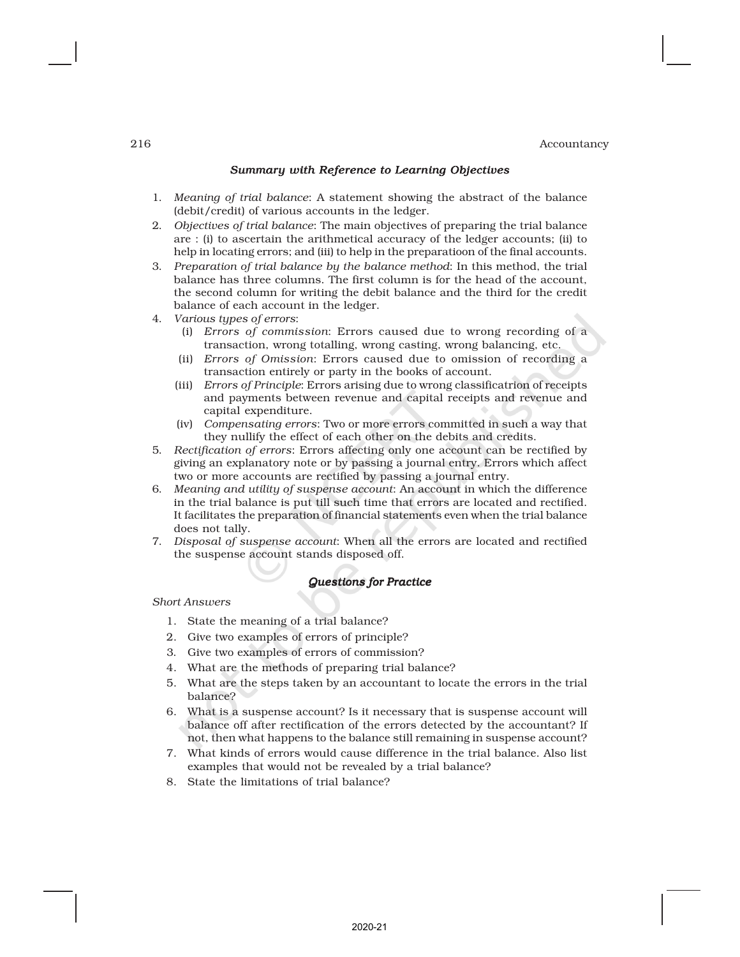### *Summary with Reference to Learning Objectives*

- 1. *Meaning of trial balance*: A statement showing the abstract of the balance (debit/credit) of various accounts in the ledger.
- 2. *Objectives of trial balance*: The main objectives of preparing the trial balance are : (i) to ascertain the arithmetical accuracy of the ledger accounts; (ii) to help in locating errors; and (iii) to help in the preparatioon of the final accounts.
- 3. *Preparation of trial balance by the balance method*: In this method, the trial balance has three columns. The first column is for the head of the account, the second column for writing the debit balance and the third for the credit balance of each account in the ledger.
- 4. *Various types of errors*:
	- (i) *Errors of commission*: Errors caused due to wrong recording of a transaction, wrong totalling, wrong casting, wrong balancing, etc.
	- (ii) *Errors of Omission*: Errors caused due to omission of recording a transaction entirely or party in the books of account.
	- (iii) *Errors of Principle*: Errors arising due to wrong classificatrion of receipts and payments between revenue and capital receipts and revenue and capital expenditure.
	- (iv) *Compensating errors*: Two or more errors committed in such a way that they nullify the effect of each other on the debits and credits.
- 5. *Rectification of errors*: Errors affecting only one account can be rectified by giving an explanatory note or by passing a journal entry. Errors which affect two or more accounts are rectified by passing a journal entry.
- 6. *Meaning and utility of suspense account*: An account in which the difference in the trial balance is put till such time that errors are located and rectified. It facilitates the preparation of financial statements even when the trial balance does not tally.
- 7. *Disposal of suspense account*: When all the errors are located and rectified the suspense account stands disposed off.

### *Questions for Practice*

*Short Answers*

- 1. State the meaning of a trial balance?
- 2. Give two examples of errors of principle?
- 3. Give two examples of errors of commission?
- 4. What are the methods of preparing trial balance?
- 5. What are the steps taken by an accountant to locate the errors in the trial balance?
- 6. What is a suspense account? Is it necessary that is suspense account will balance off after rectification of the errors detected by the accountant? If not, then what happens to the balance still remaining in suspense account?
- 7. What kinds of errors would cause difference in the trial balance. Also list examples that would not be revealed by a trial balance?
- 8. State the limitations of trial balance?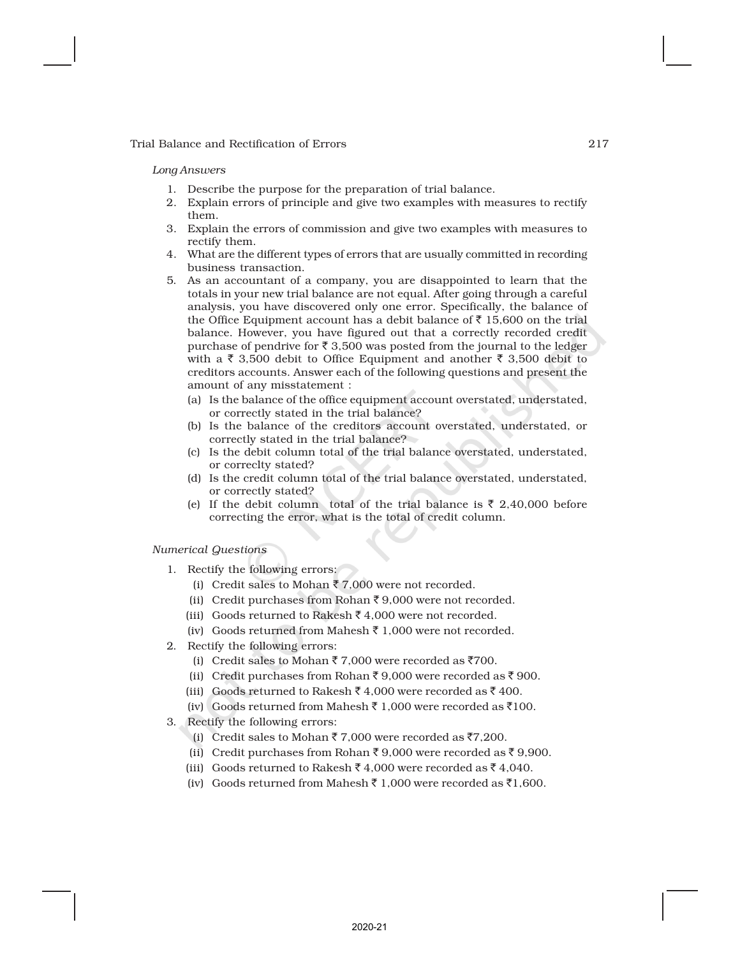### *Long Answers*

- 1. Describe the purpose for the preparation of trial balance.
- 2. Explain errors of principle and give two examples with measures to rectify them.
- 3. Explain the errors of commission and give two examples with measures to rectify them.
- 4. What are the different types of errors that are usually committed in recording business transaction.
- 5. As an accountant of a company, you are disappointed to learn that the totals in your new trial balance are not equal. After going through a careful analysis, you have discovered only one error. Specifically, the balance of the Office Equipment account has a debit balance of  $\bar{z}$  15,600 on the trial balance. However, you have figured out that a correctly recorded credit purchase of pendrive for  $\bar{\tau}$  3,500 was posted from the journal to the ledger with a  $\bar{\tau}$  3,500 debit to Office Equipment and another  $\bar{\tau}$  3,500 debit to creditors accounts. Answer each of the following questions and present the amount of any misstatement :
	- (a) Is the balance of the office equipment account overstated, understated, or correctly stated in the trial balance?
	- (b) Is the balance of the creditors account overstated, understated, or correctly stated in the trial balance?
	- (c) Is the debit column total of the trial balance overstated, understated, or correclty stated?
	- (d) Is the credit column total of the trial balance overstated, understated, or correctly stated?
	- (e) If the debit column total of the trial balance is  $\bar{\tau}$  2,40,000 before correcting the error, what is the total of credit column.

*Numerical Questions*

- 1. Rectify the following errors:
	- (i) Credit sales to Mohan  $\bar{X}$  7,000 were not recorded.
	- (ii) Credit purchases from Rohan  $\bar{\tau}$  9,000 were not recorded.
	- (iii) Goods returned to Rakesh  $\bar{\tau}$  4,000 were not recorded.
	- (iv) Goods returned from Mahesh  $\bar{\tau}$  1,000 were not recorded.
- 2. Rectify the following errors:
	- (i) Credit sales to Mohan  $\bar{z}$  7,000 were recorded as  $\bar{z}$  700.
	- (ii) Credit purchases from Rohan  $\bar{\tau}$  9,000 were recorded as  $\bar{\tau}$  900.
	- (iii) Goods returned to Rakesh  $\bar{z}$  4,000 were recorded as  $\bar{z}$  400.
	- (iv) Goods returned from Mahesh  $\bar{\tau}$  1,000 were recorded as  $\bar{\tau}$ 100.
- 3. Rectify the following errors:
	- (i) Credit sales to Mohan  $\overline{5}$  7,000 were recorded as  $\overline{5}$ 7,200.
	- (ii) Credit purchases from Rohan  $\bar{\tau}$  9,000 were recorded as  $\bar{\tau}$  9,900.
	- (iii) Goods returned to Rakesh  $\bar{\tau}$  4,000 were recorded as  $\bar{\tau}$  4,040.
	- (iv) Goods returned from Mahesh  $\bar{z}$  1,000 were recorded as  $\bar{z}$ 1,600.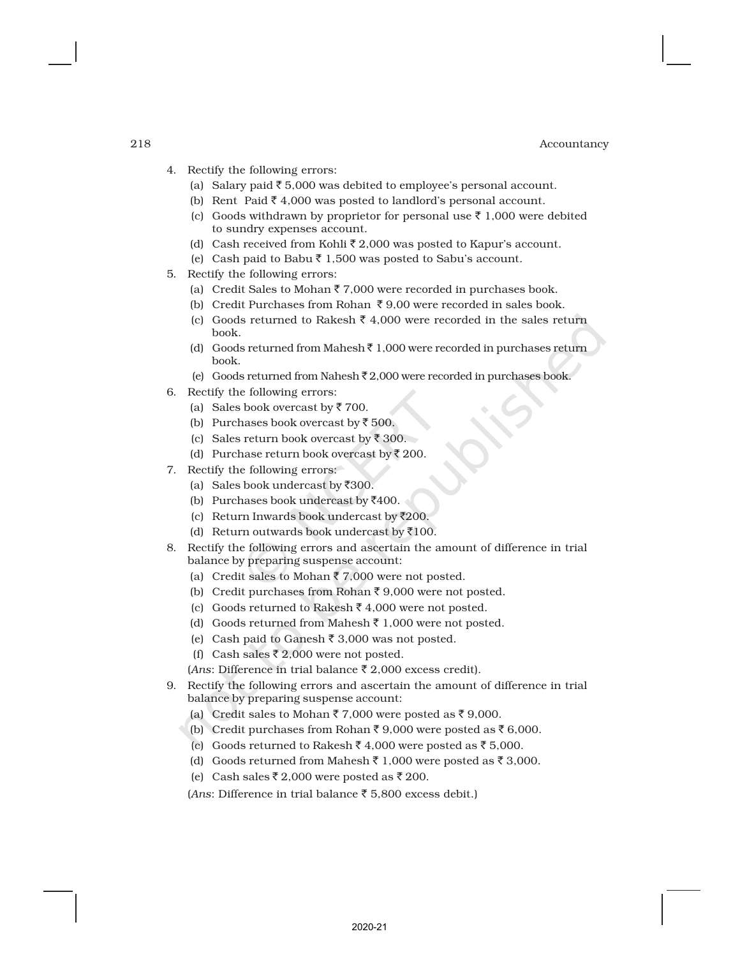### 218 Accountancy

- 4. Rectify the following errors:
	- (a) Salary paid  $\bar{z}$  5,000 was debited to employee's personal account.
	- (b) Rent Paid  $\bar{\tau}$  4,000 was posted to landlord's personal account.
	- (c) Goods withdrawn by proprietor for personal use  $\bar{\tau}$  1,000 were debited to sundry expenses account.
	- (d) Cash received from Kohli  $\bar{\tau}$  2,000 was posted to Kapur's account.
	- (e) Cash paid to Babu  $\bar{z}$  1,500 was posted to Sabu's account.
- 5. Rectify the following errors:
	- (a) Credit Sales to Mohan  $\bar{\tau}$  7,000 were recorded in purchases book.
	- (b) Credit Purchases from Rohan  $\bar{\tau}$  9.00 were recorded in sales book.
	- (c) Goods returned to Rakesh  $\bar{\tau}$  4,000 were recorded in the sales return book.
	- (d) Goods returned from Mahesh  $\bar{\tau}$  1,000 were recorded in purchases return book.
	- (e) Goods returned from Nahesh  $\bar{\bar{\tau}}$  2,000 were recorded in purchases book.
- 6. Rectify the following errors:
	- (a) Sales book overcast by  $\overline{\zeta}$  700.
	- (b) Purchases book overcast by  $\bar{z}$  500.
	- (c) Sales return book overcast by  $\bar{\mathcal{E}}$  300.
	- (d) Purchase return book overcast by  $\bar{z}$  200.
- 7. Rectify the following errors:
	- (a) Sales book undercast by  $\overline{\mathfrak{F}}300$ .
	- (b) Purchases book undercast by  $\overline{\xi}400$ .
	- (c) Return Inwards book undercast by  $\bar{\mathfrak{c}}200$ .
	- (d) Return outwards book undercast by  $\bar{x}$ 100.
- 8. Rectify the following errors and ascertain the amount of difference in trial balance by preparing suspense account:
	- (a) Credit sales to Mohan  $\bar{z}$  7,000 were not posted.
	- (b) Credit purchases from Rohan  $\bar{\tau}$  9,000 were not posted.
	- (c) Goods returned to Rakesh  $\bar{z}$  4,000 were not posted.
	- (d) Goods returned from Mahesh  $\bar{z}$  1,000 were not posted.
	- (e) Cash paid to Ganesh  $\bar{z}$  3,000 was not posted.
	- (f) Cash sales  $\bar{\tau}$  2,000 were not posted.

(*Ans*: Difference in trial balance  $\bar{\tau}$  2,000 excess credit).

- 9. Rectify the following errors and ascertain the amount of difference in trial balance by preparing suspense account:
	- (a) Credit sales to Mohan  $\bar{z}$  7,000 were posted as  $\bar{z}$  9,000.
	- (b) Credit purchases from Rohan  $\bar{z}$  9,000 were posted as  $\bar{z}$  6,000.
	- (c) Goods returned to Rakesh  $\bar{\tau}$  4,000 were posted as  $\bar{\tau}$  5,000.
	- (d) Goods returned from Mahesh  $\bar{\tau}$  1,000 were posted as  $\bar{\tau}$  3,000.
	- (e) Cash sales  $\bar{z}$  2,000 were posted as  $\bar{z}$  200.
	- (*Ans*: Difference in trial balance  $\bar{\tau}$  5,800 excess debit.)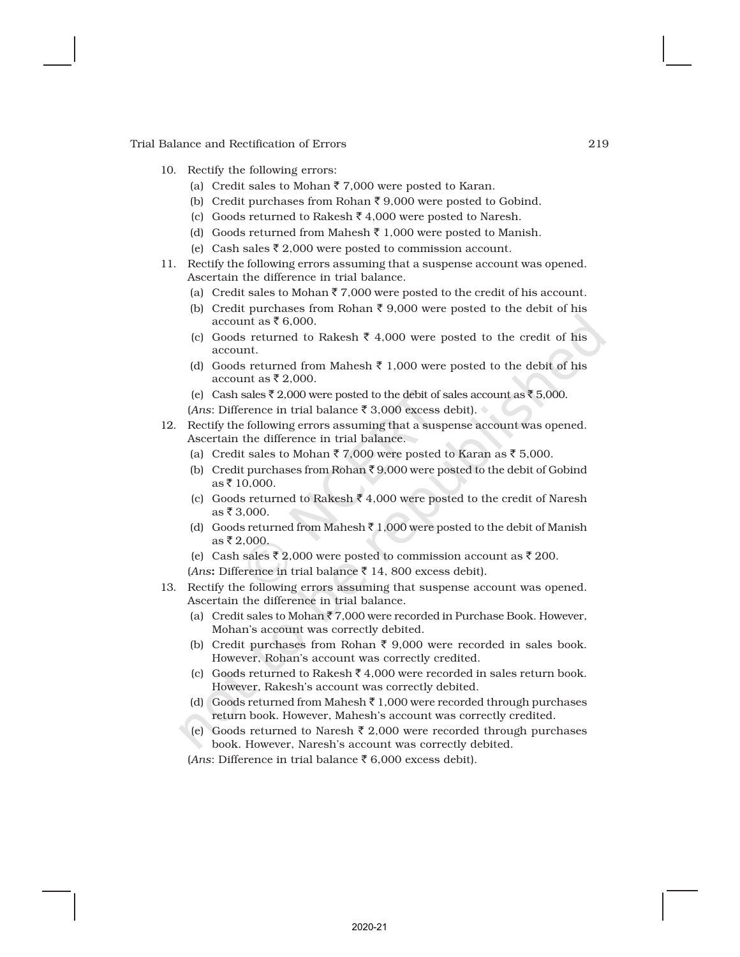- 10. Rectify the following errors:
	- (a) Credit sales to Mohan  $\bar{z}$  7,000 were posted to Karan.
	- (b) Credit purchases from Rohan  $\bar{\tau}$  9,000 were posted to Gobind.
	- (c) Goods returned to Rakesh  $\bar{z}$  4,000 were posted to Naresh.
	- (d) Goods returned from Mahesh  $\bar{\tau}$  1,000 were posted to Manish.
	- (e) Cash sales  $\bar{\tau}$  2,000 were posted to commission account.
- 11. Rectify the following errors assuming that a suspense account was opened. Ascertain the difference in trial balance.
	- (a) Credit sales to Mohan  $\bar{\tau}$  7,000 were posted to the credit of his account.
	- (b) Credit purchases from Rohan  $\bar{\tau}$  9,000 were posted to the debit of his account as ₹6,000.
	- (c) Goods returned to Rakesh  $\bar{z}$  4,000 were posted to the credit of his account.
	- (d) Goods returned from Mahesh  $\bar{\tau}$  1,000 were posted to the debit of his account as  $\bar{\tau}$  2,000.

(e) Cash sales  $\bar{\tau}$  2,000 were posted to the debit of sales account as  $\bar{\tau}$  5,000. (Ans: Difference in trial balance  $\bar{\tau}$  3,000 excess debit).

- 12. Rectify the following errors assuming that a suspense account was opened. Ascertain the difference in trial balance.
	- (a) Credit sales to Mohan  $\bar{z}$  7,000 were posted to Karan as  $\bar{z}$  5,000.
	- (b) Credit purchases from Rohan  $\overline{\xi}$  9,000 were posted to the debit of Gobind  $as \bar{x} 10,000.$
	- (c) Goods returned to Rakesh  $\bar{\tau}$  4,000 were posted to the credit of Naresh  $as ₹ 3,000.$
	- (d) Goods returned from Mahesh  $\bar{\tau}$  1,000 were posted to the debit of Manish as  $\bar{z}$  2,000.
	- (e) Cash sales  $\bar{z}$  2,000 were posted to commission account as  $\bar{z}$  200.
	- (Ans: Difference in trial balance ₹ 14, 800 excess debit).
- 13. Rectify the following errors assuming that suspense account was opened. Ascertain the difference in trial balance.
	- (a) Credit sales to Mohan  $\bar{z}$  7,000 were recorded in Purchase Book. However, Mohan's account was correctly debited.
	- (b) Credit purchases from Rohan  $\bar{\tau}$  9,000 were recorded in sales book. However, Rohan's account was correctly credited.
	- (c) Goods returned to Rakesh  $\overline{\mathfrak{c}}$  4,000 were recorded in sales return book. However, Rakesh's account was correctly debited.
	- (d) Goods returned from Mahesh  $\bar{\tau}$  1,000 were recorded through purchases return book. However, Mahesh's account was correctly credited.
	- (e) Goods returned to Naresh  $\bar{\tau}$  2,000 were recorded through purchases book. However, Naresh's account was correctly debited.

(Ans: Difference in trial balance  $\bar{\tau}$  6,000 excess debit).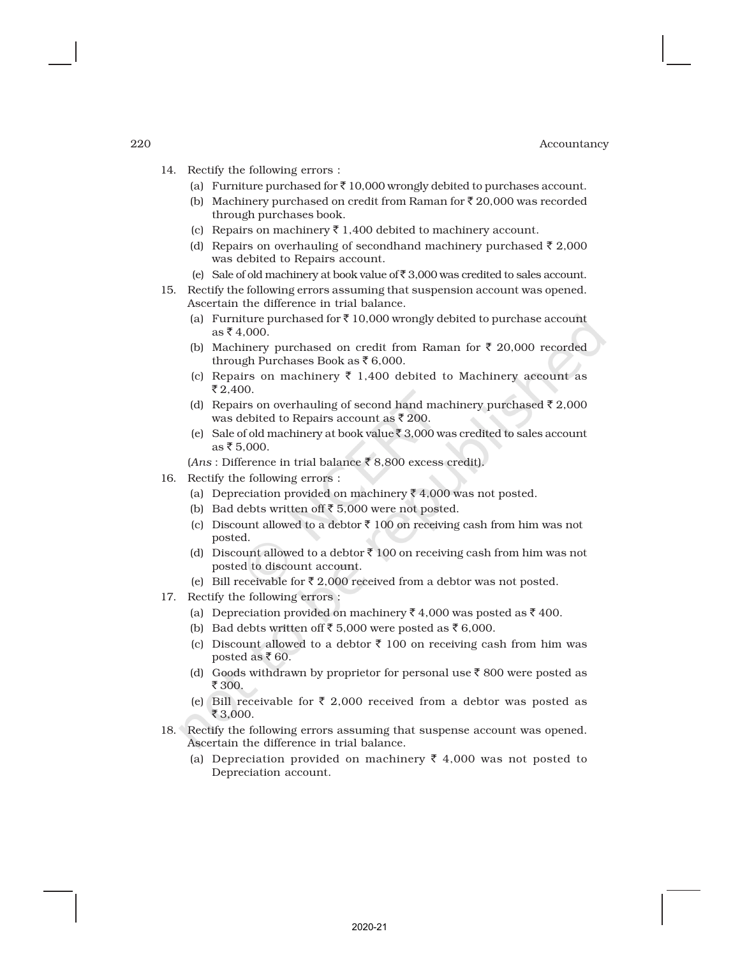### 220 Accountancy

- 14. Rectify the following errors :
	- (a) Furniture purchased for  $\bar{\tau}$  10,000 wrongly debited to purchases account.
	- (b) Machinery purchased on credit from Raman for  $\bar{z}$  20,000 was recorded through purchases book.
	- (c) Repairs on machinery  $\bar{\tau}$  1,400 debited to machinery account.
	- (d) Repairs on overhauling of secondhand machinery purchased  $\bar{\tau}$  2,000 was debited to Repairs account.
	- (e) Sale of old machinery at book value of  $\bar{c}$  3,000 was credited to sales account.
- 15. Rectify the following errors assuming that suspension account was opened. Ascertain the difference in trial balance.
	- (a) Furniture purchased for  $\bar{\tau}$  10,000 wrongly debited to purchase account  $as \, \xi \, 4,000.$
	- (b) Machinery purchased on credit from Raman for  $\bar{\tau}$  20,000 recorded through Purchases Book as  $\bar{z}$  6,000.
	- (c) Repairs on machinery  $\bar{\tau}$  1,400 debited to Machinery account as  $\bar{z}$  2,400.
	- (d) Repairs on overhauling of second hand machinery purchased  $\bar{\tau}$  2,000 was debited to Repairs account as  $\overline{\mathfrak{c}}$  200.
	- (e) Sale of old machinery at book value  $\bar{z}$  3,000 was credited to sales account  $as \xi 5,000.$

 $(Ans:$  Difference in trial balance  $\bar{z}$  8,800 excess credit).

- 16. Rectify the following errors :
	- (a) Depreciation provided on machinery  $\bar{\xi}$  4,000 was not posted.
	- (b) Bad debts written of  $\bar{\tau}$  5,000 were not posted.
	- (c) Discount allowed to a debtor  $\bar{\tau}$  100 on receiving cash from him was not posted.
	- (d) Discount allowed to a debtor  $\bar{x}$  100 on receiving cash from him was not posted to discount account.
	- (e) Bill receivable for  $\bar{\tau}$  2,000 received from a debtor was not posted.
- 17. Rectify the following errors :
	- (a) Depreciation provided on machinery  $\bar{\tau}$  4,000 was posted as  $\bar{\tau}$  400.
	- (b) Bad debts written of  $\bar{\tau}$  5,000 were posted as  $\bar{\tau}$  6,000.
	- (c) Discount allowed to a debtor  $\bar{\tau}$  100 on receiving cash from him was posted as  $\bar{z}$  60.
	- (d) Goods withdrawn by proprietor for personal use  $\bar{\tau}$  800 were posted as ₹ 300.
	- (e) Bill receivable for  $\bar{\tau}$  2,000 received from a debtor was posted as ₹  $3,000$ .
- 18. Rectify the following errors assuming that suspense account was opened. Ascertain the difference in trial balance.
	- (a) Depreciation provided on machinery  $\bar{\xi}$  4,000 was not posted to Depreciation account.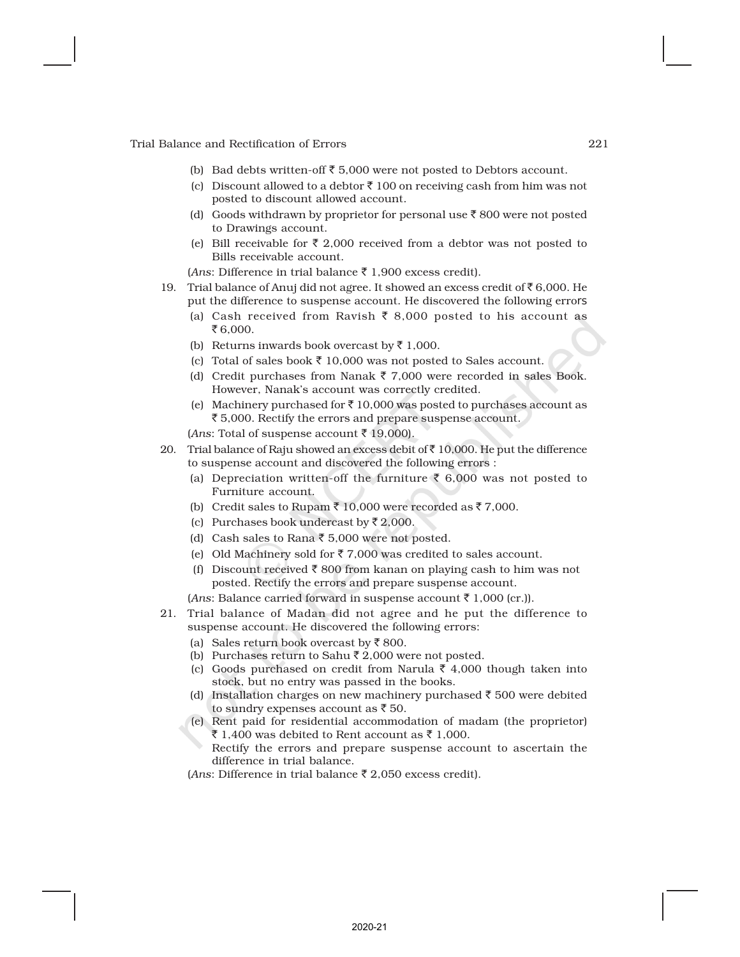- (b) Bad debts written-off  $\bar{\tau}$  5,000 were not posted to Debtors account.
- (c) Discount allowed to a debtor  $\bar{\tau}$  100 on receiving cash from him was not posted to discount allowed account.
- (d) Goods withdrawn by proprietor for personal use  $\bar{z}$  800 were not posted to Drawings account.
- (e) Bill receivable for  $\overline{\xi}$  2,000 received from a debtor was not posted to Bills receivable account.

(*Ans*: Difference in trial balance  $\bar{\tau}$  1,900 excess credit).

- 19. Trial balance of Anuj did not agree. It showed an excess credit of  $\bar{\tau}$  6,000. He put the difference to suspense account. He discovered the following errors
	- (a) Cash received from Ravish  $\bar{\tau}$  8,000 posted to his account as ₹ $6,000.$
	- (b) Returns inwards book overcast by  $\bar{z}$  1,000.
	- (c) Total of sales book  $\bar{\tau}$  10,000 was not posted to Sales account.
	- (d) Credit purchases from Nanak  $\bar{\tau}$  7,000 were recorded in sales Book. However, Nanak's account was correctly credited.
	- (e) Machinery purchased for  $\bar{x}$  10,000 was posted to purchases account as ₹5,000. Rectify the errors and prepare suspense account.
	- $(Ans: Total of supense account \t{5} 19,000).$
- 20. Trial balance of Raju showed an excess debit of  $\bar{z}$  10,000. He put the difference to suspense account and discovered the following errors :
	- (a) Depreciation written-off the furniture  $\bar{\xi}$  6,000 was not posted to Furniture account.
	- (b) Credit sales to Rupam  $\bar{\tau}$  10,000 were recorded as  $\bar{\tau}$  7,000.
	- (c) Purchases book undercast by  $\bar{\tau}$  2,000.
	- (d) Cash sales to Rana  $\bar{\tau}$  5,000 were not posted.
	- (e) Old Machinery sold for  $\bar{\tau}$  7,000 was credited to sales account.
	- (f) Discount received  $\bar{\tau}$  800 from kanan on playing cash to him was not posted. Rectify the errors and prepare suspense account.
	- (Ans: Balance carried forward in suspense account  $\bar{z}$  1,000 (cr.)).
- 21. Trial balance of Madan did not agree and he put the difference to suspense account. He discovered the following errors:
	- (a) Sales return book overcast by  $\bar{z}$  800.
	- (b) Purchases return to Sahu  $\bar{z}$  2,000 were not posted.
	- (c) Goods purchased on credit from Narula  $\bar{\tau}$  4,000 though taken into stock, but no entry was passed in the books.
	- (d) Installation charges on new machinery purchased  $\bar{\tau}$  500 were debited to sundry expenses account as  $\bar{z}$  50.
	- (e) Rent paid for residential accommodation of madam (the proprietor) ₹ 1,400 was debited to Rent account as ₹ 1,000.
		- Rectify the errors and prepare suspense account to ascertain the difference in trial balance.
	- (*Ans*: Difference in trial balance  $\bar{\tau}$  2,050 excess credit).

2020-21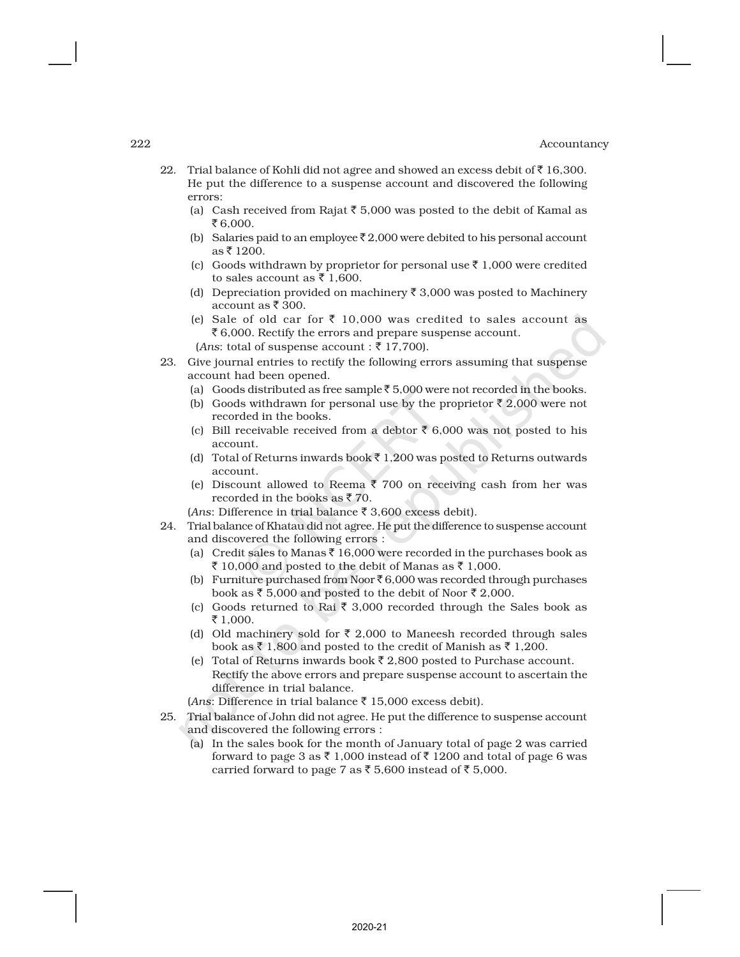### 222 Accountancy

- 22. Trial balance of Kohli did not agree and showed an excess debit of  $\bar{\tau}$  16,300. He put the difference to a suspense account and discovered the following errors:
	- (a) Cash received from Rajat  $\bar{\tau}$  5,000 was posted to the debit of Kamal as ₹6,000.
	- (b) Salaries paid to an employee  $\overline{\tau}$  2,000 were debited to his personal account  $as ₹ 1200.$
	- (c) Goods withdrawn by proprietor for personal use  $\bar{\tau}$  1,000 were credited to sales account as  $\bar{z}$  1,600.
	- (d) Depreciation provided on machinery  $\bar{\tau}$  3,000 was posted to Machinery account as ₹ 300.
	- (e) Sale of old car for  $\bar{\tau}$  10,000 was credited to sales account as  $\overline{\xi}$  6,000. Rectify the errors and prepare suspense account. (*Ans*: total of suspense account :  $\bar{\tau}$  17,700).
- 23. Give journal entries to rectify the following errors assuming that suspense account had been opened.
	- (a) Goods distributed as free sample  $\bar{z}$  5,000 were not recorded in the books.
	- (b) Goods withdrawn for personal use by the proprietor  $\bar{\tau}$  2,000 were not recorded in the books.
	- (c) Bill receivable received from a debtor  $\bar{\tau}$  6,000 was not posted to his account.
	- (d) Total of Returns inwards book  $\bar{z}$  1,200 was posted to Returns outwards account.
	- (e) Discount allowed to Reema  $\bar{\tau}$  700 on receiving cash from her was recorded in the books as  $\bar{z}$  70.

(Ans: Difference in trial balance  $\bar{\tau}$  3,600 excess debit).

- 24. Trial balance of Khatau did not agree. He put the difference to suspense account and discovered the following errors :
	- (a) Credit sales to Manas  $\bar{z}$  16,000 were recorded in the purchases book as  $\bar{\tau}$  10,000 and posted to the debit of Manas as  $\bar{\tau}$  1,000.
	- (b) Furniture purchased from Noor  $\bar{\tau}$  6,000 was recorded through purchases book as  $\bar{\tau}$  5,000 and posted to the debit of Noor  $\bar{\tau}$  2,000.
	- (c) Goods returned to Rai  $\bar{\tau}$  3,000 recorded through the Sales book as  $\overline{5}$  1,000.
	- (d) Old machinery sold for  $\bar{\tau}$  2,000 to Maneesh recorded through sales book as  $\bar{\tau}$  1,800 and posted to the credit of Manish as  $\bar{\tau}$  1,200.
	- (e) Total of Returns inwards book  $\bar{\tau}$  2,800 posted to Purchase account. Rectify the above errors and prepare suspense account to ascertain the difference in trial balance.

(*Ans*: Difference in trial balance  $\bar{\tau}$  15,000 excess debit).

- 25. Trial balance of John did not agree. He put the difference to suspense account and discovered the following errors :
	- (a) In the sales book for the month of January total of page 2 was carried forward to page 3 as  $\bar{\tau}$  1,000 instead of  $\bar{\tau}$  1200 and total of page 6 was carried forward to page 7 as  $\bar{\tau}$  5,600 instead of  $\bar{\tau}$  5,000.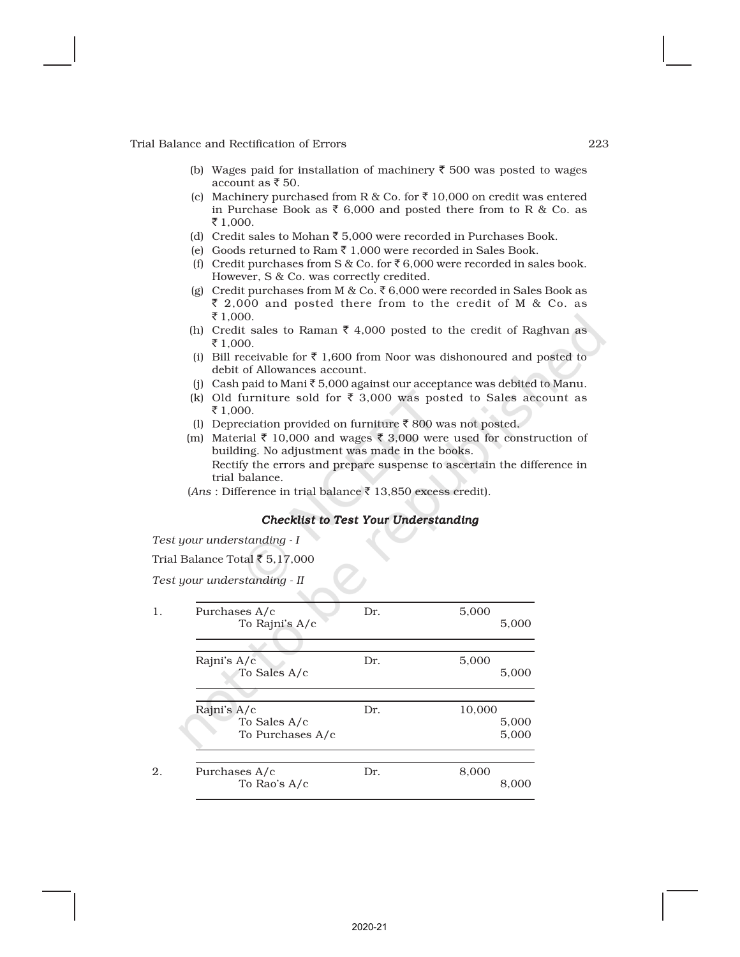- (b) Wages paid for installation of machinery  $\bar{\tau}$  500 was posted to wages account as  $\bar{z}$  50.
- (c) Machinery purchased from R & Co. for  $\bar{\tau}$  10,000 on credit was entered in Purchase Book as  $\bar{z}$  6,000 and posted there from to R & Co. as ₹ 1,000.
- (d) Credit sales to Mohan  $\bar{\tau}$  5,000 were recorded in Purchases Book.
- (e) Goods returned to Ram  $\bar{z}$  1,000 were recorded in Sales Book.
- (f) Credit purchases from S & Co. for  $\bar{\tau}$  6,000 were recorded in sales book. However, S & Co. was correctly credited.
- (g) Credit purchases from M & Co.  $\bar{\tau}$  6,000 were recorded in Sales Book as  $\bar{\xi}$  2,000 and posted there from to the credit of M & Co. as  $\bar{$ }1,000.
- (h) Credit sales to Raman  $\bar{\tau}$  4,000 posted to the credit of Raghvan as ₹ 1,000.
- (i) Bill receivable for  $\bar{\tau}$  1,600 from Noor was dishonoured and posted to debit of Allowances account.
- (j) Cash paid to Mani  $\bar{z}$  5,000 against our acceptance was debited to Manu.
- (k) Old furniture sold for  $\bar{\tau}$  3,000 was posted to Sales account as  $\overline{5}$  1,000.
- (l) Depreciation provided on furniture  $\bar{\tau}$  800 was not posted.
- (m) Material  $\bar{\tau}$  10,000 and wages  $\bar{\tau}$  3,000 were used for construction of building. No adjustment was made in the books. Rectify the errors and prepare suspense to ascertain the difference in trial balance.

 $(Ans:$  Difference in trial balance  $\bar{\tau}$  13,850 excess credit).

### *Checklist to Test Your Understanding*

*Test your understanding - I*

Trial Balance Total  $\bar{z}$  5,17,000

*Test your understanding - II*

| 1. | Purchases A/c<br>To Rajni's A/c                 | Dr. | 5,000<br>5,000           |
|----|-------------------------------------------------|-----|--------------------------|
|    | Rajni's A/c<br>To Sales A/c                     | Dr. | 5,000<br>5,000           |
|    | Rajni's A/c<br>To Sales A/c<br>To Purchases A/c | Dr. | 10,000<br>5,000<br>5,000 |
|    |                                                 |     |                          |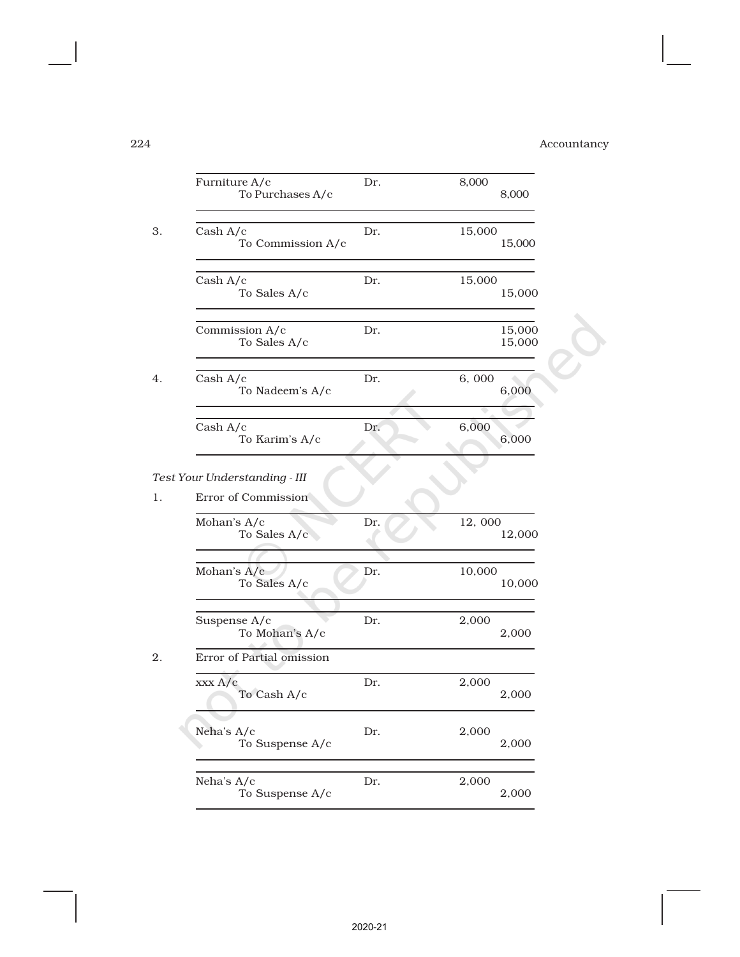|    | Furniture A/c<br>To Purchases A/c                    | Dr. | 8,000  | 8,000            |
|----|------------------------------------------------------|-----|--------|------------------|
| З. | Cash A/c<br>To Commission A/c                        | Dr. | 15,000 | 15,000           |
|    | Cash A/c<br>To Sales A/c                             | Dr. | 15,000 | 15,000           |
|    | Commission A/c<br>To Sales A/c                       | Dr. |        | 15,000<br>15,000 |
| 4. | Cash A/c<br>To Nadeem's A/c                          | Dr. | 6,000  | 6,000            |
|    | Cash A/c<br>To Karim's A/c                           | Dr. | 6,000  | 6,000            |
| 1. | Test Your Understanding - III<br>Error of Commission |     |        |                  |
|    | Mohan's A/c<br>To Sales A/c                          | Dr. | 12,000 | 12,000           |
|    | Mohan's A/c<br>To Sales A/c                          | Dr. | 10,000 | 10,000           |
|    | Suspense A/c<br>To Mohan's A/c                       | Dr. | 2,000  | 2,000            |
| 2. | Error of Partial omission                            |     |        |                  |
|    | XXX A/c<br>To Cash A/c                               | Dr. | 2,000  | 2,000            |
|    | Neha's A/c<br>To Suspense A/c                        | Dr. | 2,000  | 2,000            |
|    | Neha's A/c<br>To Suspense A/c                        | Dr. | 2,000  | 2,000            |